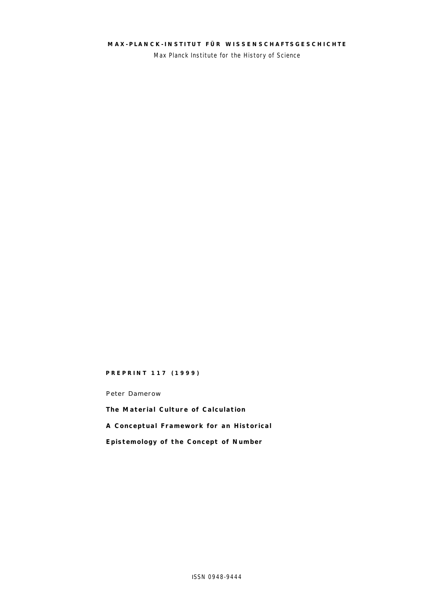## **MAX- PLANCK- INSTITUT FÜR WISSENSCHAFTSGESCH ICHTE**

Max Planck Institute for the History of Science

#### **PREPRINT 117 (1999)**

Peter Damerow

**The Material Culture of Calculation A Conceptual Framework for an Historical Epistemology of the Concept of Number**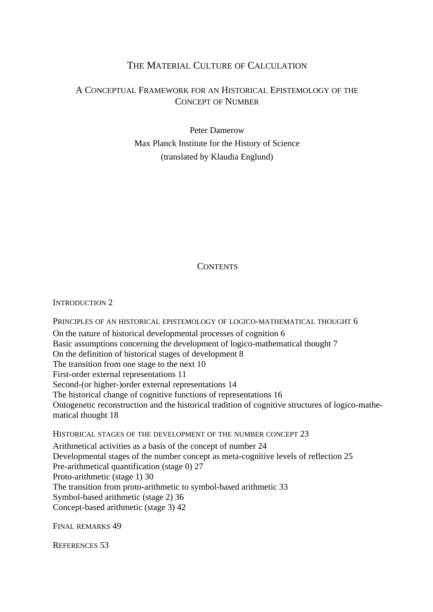## THE MATERIAL CULTURE OF CALCULATION

## A CONCEPTUAL FRAMEWORK FOR AN HISTORICAL EPISTEMOLOGY OF THE CONCEPT OF NUMBER

Peter Damerow Max Planck Institute for the History of Science (translated by Klaudia Englund)

## **CONTENTS**

INTRODUCTION 2

PRINCIPLES OF AN HISTORICAL EPISTEMOLOGY OF LOGICO-MATHEMATICAL THOUGHT 6 On the nature of historical developmental processes of cognition 6 Basic assumptions concerning the development of logico-mathematical thought 7 On the definition of historical stages of development 8 The transition from one stage to the next 10 First-order external representations 11 Second-(or higher-)order external representations 14 The historical change of cognitive functions of representations 16 Ontogenetic reconstruction and the historical tradition of cognitive structures of logico-mathematical thought 18

HISTORICAL STAGES OF THE DEVELOPMENT OF THE NUMBER CONCEPT 23

Arithmetical activities as a basis of the concept of number 24 Developmental stages of the number concept as meta-cognitive levels of reflection 25 Pre-arithmetical quantification (stage 0) 27 Proto-arithmetic (stage 1) 30 The transition from proto-arithmetic to symbol-based arithmetic 33 Symbol-based arithmetic (stage 2) 36 Concept-based arithmetic (stage 3) 42

FINAL REMARKS 49

REFERENCES 53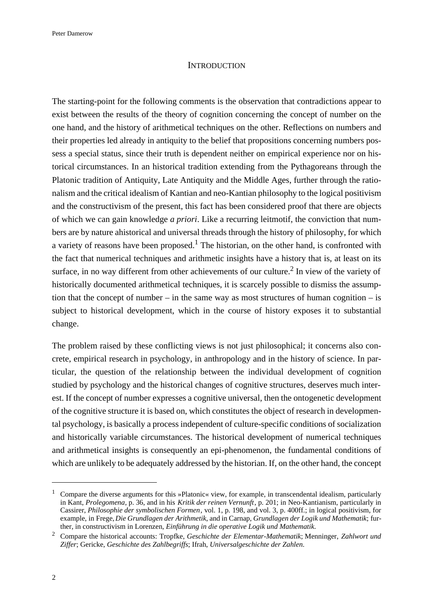### **INTRODUCTION**

The starting-point for the following comments is the observation that contradictions appear to exist between the results of the theory of cognition concerning the concept of number on the one hand, and the history of arithmetical techniques on the other. Reflections on numbers and their properties led already in antiquity to the belief that propositions concerning numbers possess a special status, since their truth is dependent neither on empirical experience nor on historical circumstances. In an historical tradition extending from the Pythagoreans through the Platonic tradition of Antiquity, Late Antiquity and the Middle Ages, further through the rationalism and the critical idealism of Kantian and neo-Kantian philosophy to the logical positivism and the constructivism of the present, this fact has been considered proof that there are objects of which we can gain knowledge *a priori*. Like a recurring leitmotif, the conviction that numbers are by nature ahistorical and universal threads through the history of philosophy, for which a variety of reasons have been proposed.<sup>1</sup> The historian, on the other hand, is confronted with the fact that numerical techniques and arithmetic insights have a history that is, at least on its surface, in no way different from other achievements of our culture.<sup>2</sup> In view of the variety of historically documented arithmetical techniques, it is scarcely possible to dismiss the assumption that the concept of number – in the same way as most structures of human cognition – is subject to historical development, which in the course of history exposes it to substantial change.

The problem raised by these conflicting views is not just philosophical; it concerns also concrete, empirical research in psychology, in anthropology and in the history of science. In particular, the question of the relationship between the individual development of cognition studied by psychology and the historical changes of cognitive structures, deserves much interest. If the concept of number expresses a cognitive universal, then the ontogenetic development of the cognitive structure it is based on, which constitutes the object of research in developmental psychology, is basically a process independent of culture-specific conditions of socialization and historically variable circumstances. The historical development of numerical techniques and arithmetical insights is consequently an epi-phenomenon, the fundamental conditions of which are unlikely to be adequately addressed by the historian. If, on the other hand, the concept

<sup>&</sup>lt;sup>1</sup> Compare the diverse arguments for this »Platonic« view, for example, in transcendental idealism, particularly in Kant, *Prolegomena*, p. 36, and in his *Kritik der reinen Vernunft*, p. 201; in Neo-Kantianism, particularly in Cassirer, *Philosophie der symbolischen Formen*, vol. 1, p. 198, and vol. 3, p. 400ff.; in logical positivism, for example, in Frege, *Die Grundlagen der Arithmetik*, and in Carnap, *Grundlagen der Logik und Mathematik*; further, in constructivism in Lorenzen, *Einführung in die operative Logik und Mathematik*.

<sup>2</sup>Compare the historical accounts: Tropfke, *Geschichte der Elementar-Mathematik*; Menninger, *Zahlwort und Ziffer*; Gericke, *Geschichte des Zahlbegriffs*; Ifrah, *Universalgeschichte der Zahlen*.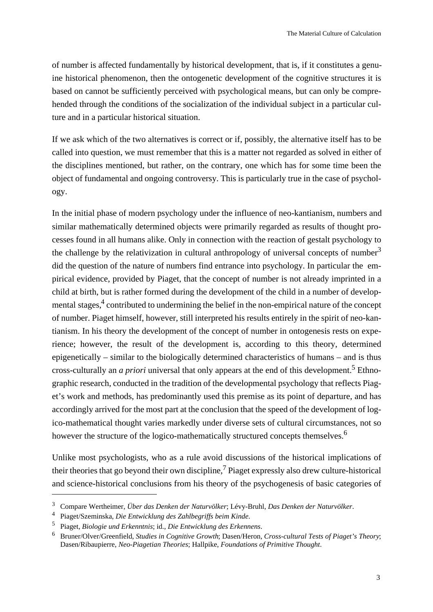of number is affected fundamentally by historical development, that is, if it constitutes a genuine historical phenomenon, then the ontogenetic development of the cognitive structures it is based on cannot be sufficiently perceived with psychological means, but can only be comprehended through the conditions of the socialization of the individual subject in a particular culture and in a particular historical situation.

If we ask which of the two alternatives is correct or if, possibly, the alternative itself has to be called into question, we must remember that this is a matter not regarded as solved in either of the disciplines mentioned, but rather, on the contrary, one which has for some time been the object of fundamental and ongoing controversy. This is particularly true in the case of psychology.

In the initial phase of modern psychology under the influence of neo-kantianism, numbers and similar mathematically determined objects were primarily regarded as results of thought processes found in all humans alike. Only in connection with the reaction of gestalt psychology to the challenge by the relativization in cultural anthropology of universal concepts of number<sup>3</sup> did the question of the nature of numbers find entrance into psychology. In particular the empirical evidence, provided by Piaget, that the concept of number is not already imprinted in a child at birth, but is rather formed during the development of the child in a number of developmental stages,<sup>4</sup> contributed to undermining the belief in the non-empirical nature of the concept of number. Piaget himself, however, still interpreted his results entirely in the spirit of neo-kantianism. In his theory the development of the concept of number in ontogenesis rests on experience; however, the result of the development is, according to this theory, determined epigenetically – similar to the biologically determined characteristics of humans – and is thus cross-culturally an *a priori* universal that only appears at the end of this development.<sup>5</sup> Ethnographic research, conducted in the tradition of the developmental psychology that reflects Piaget's work and methods, has predominantly used this premise as its point of departure, and has accordingly arrived for the most part at the conclusion that the speed of the development of logico-mathematical thought varies markedly under diverse sets of cultural circumstances, not so however the structure of the logico-mathematically structured concepts themselves.<sup>6</sup>

Unlike most psychologists, who as a rule avoid discussions of the historical implications of their theories that go beyond their own discipline,<sup>7</sup> Piaget expressly also drew culture-historical and science-historical conclusions from his theory of the psychogenesis of basic categories of

<sup>3</sup>Compare Wertheimer, *Über das Denken der Naturvölker*; Lévy-Bruhl, *Das Denken der Naturvölker*.

<sup>4</sup>Piaget/Szeminska, *Die Entwicklung des Zahlbegriffs beim Kinde*.

<sup>5</sup>Piaget, *Biologie und Erkenntnis*; id., *Die Entwicklung des Erkennens*.

<sup>6</sup>Bruner/Olver/Greenfield, *Studies in Cognitive Growth*; Dasen/Heron, *Cross-cultural Tests of Piaget's Theory*; Dasen/Ribaupierre, *Neo-Piagetian Theories*; Hallpike, *Foundations of Primitive Thought*.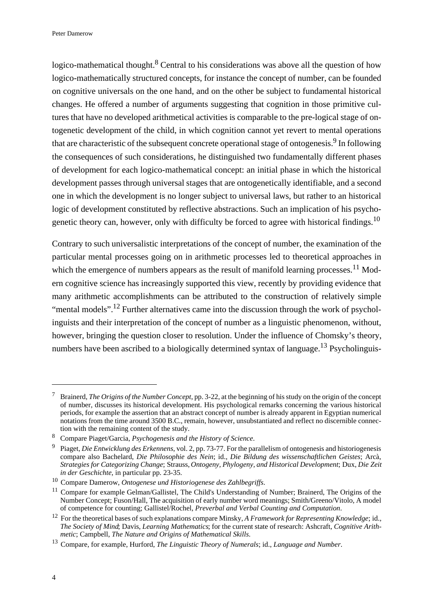logico-mathematical thought.<sup>8</sup> Central to his considerations was above all the question of how logico-mathematically structured concepts, for instance the concept of number, can be founded on cognitive universals on the one hand, and on the other be subject to fundamental historical changes. He offered a number of arguments suggesting that cognition in those primitive cultures that have no developed arithmetical activities is comparable to the pre-logical stage of ontogenetic development of the child, in which cognition cannot yet revert to mental operations that are characteristic of the subsequent concrete operational stage of ontogenesis.<sup>9</sup> In following the consequences of such considerations, he distinguished two fundamentally different phases of development for each logico-mathematical concept: an initial phase in which the historical development passes through universal stages that are ontogenetically identifiable, and a second one in which the development is no longer subject to universal laws, but rather to an historical logic of development constituted by reflective abstractions. Such an implication of his psychogenetic theory can, however, only with difficulty be forced to agree with historical findings.<sup>10</sup>

Contrary to such universalistic interpretations of the concept of number, the examination of the particular mental processes going on in arithmetic processes led to theoretical approaches in which the emergence of numbers appears as the result of manifold learning processes.<sup>11</sup> Modern cognitive science has increasingly supported this view, recently by providing evidence that many arithmetic accomplishments can be attributed to the construction of relatively simple "mental models".<sup>12</sup> Further alternatives came into the discussion through the work of psycholinguists and their interpretation of the concept of number as a linguistic phenomenon, without, however, bringing the question closer to resolution. Under the influence of Chomsky's theory, numbers have been ascribed to a biologically determined syntax of language.<sup>13</sup> Psycholinguis-

<sup>7</sup>Brainerd, *The Origins of the Number Concept*, pp. 3-22, at the beginning of his study on the origin of the concept of number, discusses its historical development. His psychological remarks concerning the various historical periods, for example the assertion that an abstract concept of number is already apparent in Egyptian numerical notations from the time around 3500 B.C., remain, however, unsubstantiated and reflect no discernible connection with the remaining content of the study.

<sup>8</sup>Compare Piaget/Garcia, *Psychogenesis and the History of Science*.

<sup>9</sup>Piaget, *Die Entwicklung des Erkennens*, vol. 2, pp. 73-77. For the parallelism of ontogenesis and historiogenesis compare also Bachelard, *Die Philosophie des Nein*; id., *Die Bildung des wissenschaftlichen Geistes*; Arcà, *Strategies for Categorizing Change*; Strauss, *Ontogeny, Phylogeny, and Historical Development*; Dux, *Die Zeit in der Geschichte*, in particular pp. 23-35.

<sup>&</sup>lt;sup>10</sup> Compare Damerow, *Ontogenese und Historiogenese des Zahlbegriffs*.

<sup>&</sup>lt;sup>11</sup> Compare for example Gelman/Gallistel, The Child's Understanding of Number; Brainerd, The Origins of the Number Concept; Fuson/Hall, The acquisition of early number word meanings; Smith/Greeno/Vitolo, A model of competence for counting; Gallistel/Rochel, *Preverbal and Verbal Counting and Computation*.

<sup>&</sup>lt;sup>12</sup> For the theoretical bases of such explanations compare Minsky, *A Framework for Representing Knowledge*; id., *The Society of Mind*; Davis, *Learning Mathematics*; for the current state of research: Ashcraft, *Cognitive Arithmetic*; Campbell, *The Nature and Origins of Mathematical Skills*.

<sup>13</sup>Compare, for example, Hurford, *The Linguistic Theory of Numerals*; id., *Language and Number*.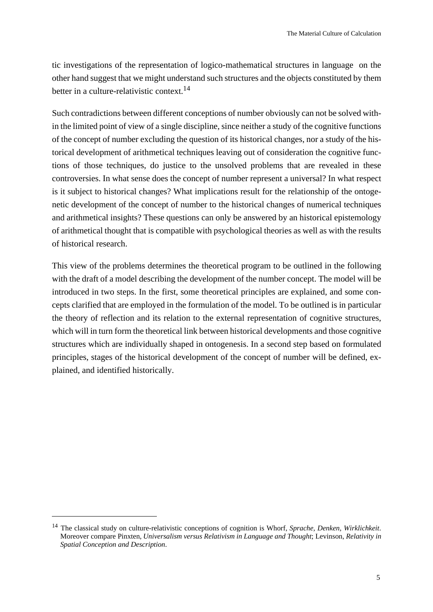tic investigations of the representation of logico-mathematical structures in language on the other hand suggest that we might understand such structures and the objects constituted by them better in a culture-relativistic context.<sup>14</sup>

Such contradictions between different conceptions of number obviously can not be solved within the limited point of view of a single discipline, since neither a study of the cognitive functions of the concept of number excluding the question of its historical changes, nor a study of the historical development of arithmetical techniques leaving out of consideration the cognitive functions of those techniques, do justice to the unsolved problems that are revealed in these controversies. In what sense does the concept of number represent a universal? In what respect is it subject to historical changes? What implications result for the relationship of the ontogenetic development of the concept of number to the historical changes of numerical techniques and arithmetical insights? These questions can only be answered by an historical epistemology of arithmetical thought that is compatible with psychological theories as well as with the results of historical research.

This view of the problems determines the theoretical program to be outlined in the following with the draft of a model describing the development of the number concept. The model will be introduced in two steps. In the first, some theoretical principles are explained, and some concepts clarified that are employed in the formulation of the model. To be outlined is in particular the theory of reflection and its relation to the external representation of cognitive structures, which will in turn form the theoretical link between historical developments and those cognitive structures which are individually shaped in ontogenesis. In a second step based on formulated principles, stages of the historical development of the concept of number will be defined, explained, and identified historically.

<sup>&</sup>lt;sup>14</sup> The classical study on culture-relativistic conceptions of cognition is Whorf, *Sprache, Denken, Wirklichkeit*. Moreover compare Pinxten, *Universalism versus Relativism in Language and Thought*; Levinson, *Relativity in Spatial Conception and Description*.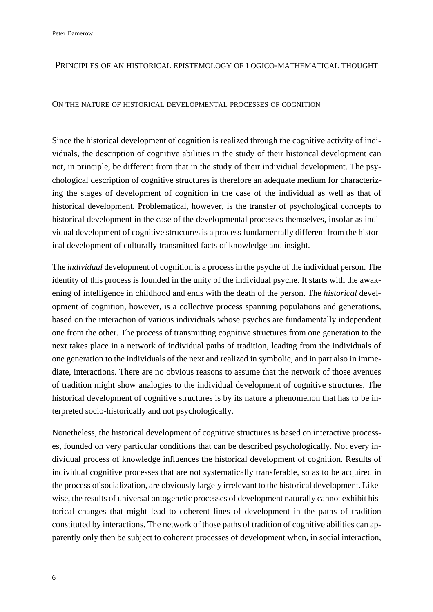Peter Damerow

## PRINCIPLES OF AN HISTORICAL EPISTEMOLOGY OF LOGICO-MATHEMATICAL THOUGHT

### ON THE NATURE OF HISTORICAL DEVELOPMENTAL PROCESSES OF COGNITION

Since the historical development of cognition is realized through the cognitive activity of individuals, the description of cognitive abilities in the study of their historical development can not, in principle, be different from that in the study of their individual development. The psychological description of cognitive structures is therefore an adequate medium for characterizing the stages of development of cognition in the case of the individual as well as that of historical development. Problematical, however, is the transfer of psychological concepts to historical development in the case of the developmental processes themselves, insofar as individual development of cognitive structures is a process fundamentally different from the historical development of culturally transmitted facts of knowledge and insight.

The *individual* development of cognition is a process in the psyche of the individual person. The identity of this process is founded in the unity of the individual psyche. It starts with the awakening of intelligence in childhood and ends with the death of the person. The *historical* development of cognition, however, is a collective process spanning populations and generations, based on the interaction of various individuals whose psyches are fundamentally independent one from the other. The process of transmitting cognitive structures from one generation to the next takes place in a network of individual paths of tradition, leading from the individuals of one generation to the individuals of the next and realized in symbolic, and in part also in immediate, interactions. There are no obvious reasons to assume that the network of those avenues of tradition might show analogies to the individual development of cognitive structures. The historical development of cognitive structures is by its nature a phenomenon that has to be interpreted socio-historically and not psychologically.

Nonetheless, the historical development of cognitive structures is based on interactive processes, founded on very particular conditions that can be described psychologically. Not every individual process of knowledge influences the historical development of cognition. Results of individual cognitive processes that are not systematically transferable, so as to be acquired in the process of socialization, are obviously largely irrelevant to the historical development. Likewise, the results of universal ontogenetic processes of development naturally cannot exhibit historical changes that might lead to coherent lines of development in the paths of tradition constituted by interactions. The network of those paths of tradition of cognitive abilities can apparently only then be subject to coherent processes of development when, in social interaction,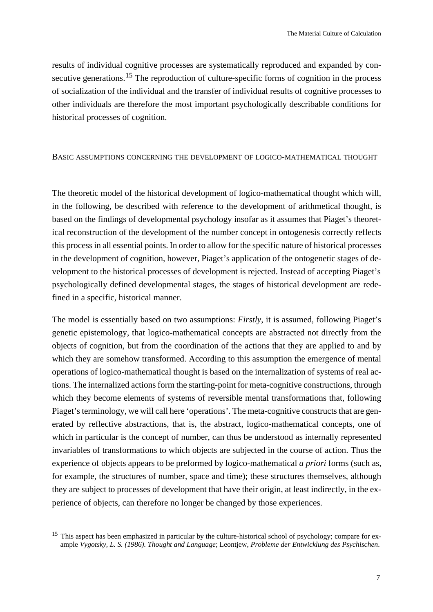results of individual cognitive processes are systematically reproduced and expanded by consecutive generations.<sup>15</sup> The reproduction of culture-specific forms of cognition in the process of socialization of the individual and the transfer of individual results of cognitive processes to other individuals are therefore the most important psychologically describable conditions for historical processes of cognition.

## BASIC ASSUMPTIONS CONCERNING THE DEVELOPMENT OF LOGICO-MATHEMATICAL THOUGHT

The theoretic model of the historical development of logico-mathematical thought which will, in the following, be described with reference to the development of arithmetical thought, is based on the findings of developmental psychology insofar as it assumes that Piaget's theoretical reconstruction of the development of the number concept in ontogenesis correctly reflects this process in all essential points. In order to allow for the specific nature of historical processes in the development of cognition, however, Piaget's application of the ontogenetic stages of development to the historical processes of development is rejected. Instead of accepting Piaget's psychologically defined developmental stages, the stages of historical development are redefined in a specific, historical manner.

The model is essentially based on two assumptions: *Firstly*, it is assumed, following Piaget's genetic epistemology, that logico-mathematical concepts are abstracted not directly from the objects of cognition, but from the coordination of the actions that they are applied to and by which they are somehow transformed. According to this assumption the emergence of mental operations of logico-mathematical thought is based on the internalization of systems of real actions. The internalized actions form the starting-point for meta-cognitive constructions, through which they become elements of systems of reversible mental transformations that, following Piaget's terminology, we will call here 'operations'. The meta-cognitive constructs that are generated by reflective abstractions, that is, the abstract, logico-mathematical concepts, one of which in particular is the concept of number, can thus be understood as internally represented invariables of transformations to which objects are subjected in the course of action. Thus the experience of objects appears to be preformed by logico-mathematical *a priori* forms (such as, for example, the structures of number, space and time); these structures themselves, although they are subject to processes of development that have their origin, at least indirectly, in the experience of objects, can therefore no longer be changed by those experiences.

<sup>&</sup>lt;sup>15</sup> This aspect has been emphasized in particular by the culture-historical school of psychology; compare for example *Vygotsky, L. S. (1986). Thought and Language*; Leontjew, *Probleme der Entwicklung des Psychischen*.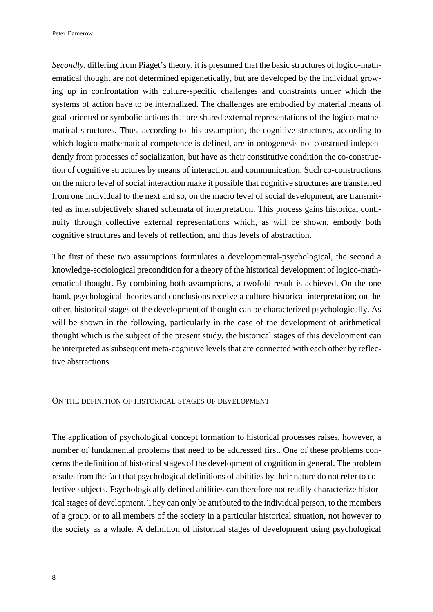*Secondly*, differing from Piaget's theory, it is presumed that the basic structures of logico-mathematical thought are not determined epigenetically, but are developed by the individual growing up in confrontation with culture-specific challenges and constraints under which the systems of action have to be internalized. The challenges are embodied by material means of goal-oriented or symbolic actions that are shared external representations of the logico-mathematical structures. Thus, according to this assumption, the cognitive structures, according to which logico-mathematical competence is defined, are in ontogenesis not construed independently from processes of socialization, but have as their constitutive condition the co-construction of cognitive structures by means of interaction and communication. Such co-constructions on the micro level of social interaction make it possible that cognitive structures are transferred from one individual to the next and so, on the macro level of social development, are transmitted as intersubjectively shared schemata of interpretation. This process gains historical continuity through collective external representations which, as will be shown, embody both cognitive structures and levels of reflection, and thus levels of abstraction.

The first of these two assumptions formulates a developmental-psychological, the second a knowledge-sociological precondition for a theory of the historical development of logico-mathematical thought. By combining both assumptions, a twofold result is achieved. On the one hand, psychological theories and conclusions receive a culture-historical interpretation; on the other, historical stages of the development of thought can be characterized psychologically. As will be shown in the following, particularly in the case of the development of arithmetical thought which is the subject of the present study, the historical stages of this development can be interpreted as subsequent meta-cognitive levels that are connected with each other by reflective abstractions.

### ON THE DEFINITION OF HISTORICAL STAGES OF DEVELOPMENT

The application of psychological concept formation to historical processes raises, however, a number of fundamental problems that need to be addressed first. One of these problems concerns the definition of historical stages of the development of cognition in general. The problem results from the fact that psychological definitions of abilities by their nature do not refer to collective subjects. Psychologically defined abilities can therefore not readily characterize historical stages of development. They can only be attributed to the individual person, to the members of a group, or to all members of the society in a particular historical situation, not however to the society as a whole. A definition of historical stages of development using psychological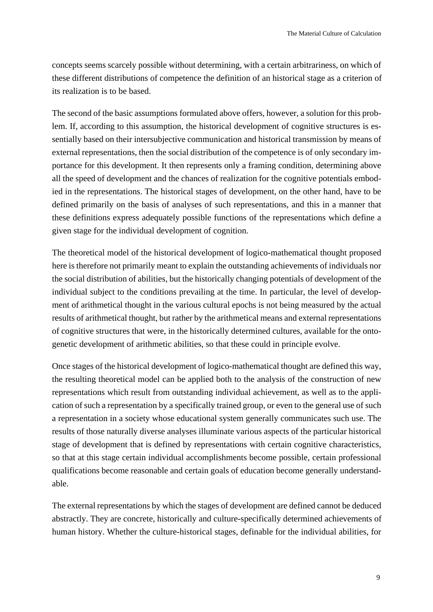concepts seems scarcely possible without determining, with a certain arbitrariness, on which of these different distributions of competence the definition of an historical stage as a criterion of its realization is to be based.

The second of the basic assumptions formulated above offers, however, a solution for this problem. If, according to this assumption, the historical development of cognitive structures is essentially based on their intersubjective communication and historical transmission by means of external representations, then the social distribution of the competence is of only secondary importance for this development. It then represents only a framing condition, determining above all the speed of development and the chances of realization for the cognitive potentials embodied in the representations. The historical stages of development, on the other hand, have to be defined primarily on the basis of analyses of such representations, and this in a manner that these definitions express adequately possible functions of the representations which define a given stage for the individual development of cognition.

The theoretical model of the historical development of logico-mathematical thought proposed here is therefore not primarily meant to explain the outstanding achievements of individuals nor the social distribution of abilities, but the historically changing potentials of development of the individual subject to the conditions prevailing at the time. In particular, the level of development of arithmetical thought in the various cultural epochs is not being measured by the actual results of arithmetical thought, but rather by the arithmetical means and external representations of cognitive structures that were, in the historically determined cultures, available for the ontogenetic development of arithmetic abilities, so that these could in principle evolve.

Once stages of the historical development of logico-mathematical thought are defined this way, the resulting theoretical model can be applied both to the analysis of the construction of new representations which result from outstanding individual achievement, as well as to the application of such a representation by a specifically trained group, or even to the general use of such a representation in a society whose educational system generally communicates such use. The results of those naturally diverse analyses illuminate various aspects of the particular historical stage of development that is defined by representations with certain cognitive characteristics, so that at this stage certain individual accomplishments become possible, certain professional qualifications become reasonable and certain goals of education become generally understandable.

The external representations by which the stages of development are defined cannot be deduced abstractly. They are concrete, historically and culture-specifically determined achievements of human history. Whether the culture-historical stages, definable for the individual abilities, for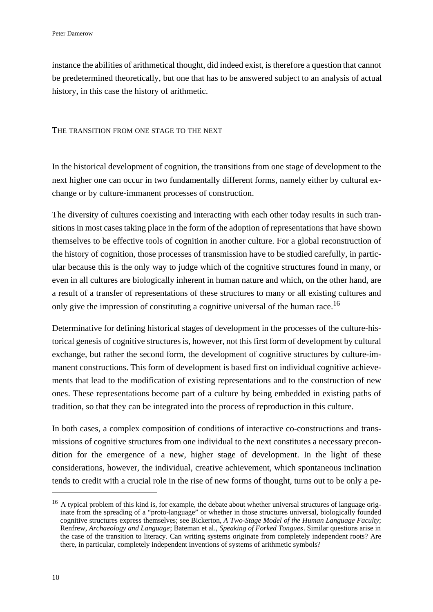instance the abilities of arithmetical thought, did indeed exist, is therefore a question that cannot be predetermined theoretically, but one that has to be answered subject to an analysis of actual history, in this case the history of arithmetic.

### THE TRANSITION FROM ONE STAGE TO THE NEXT

In the historical development of cognition, the transitions from one stage of development to the next higher one can occur in two fundamentally different forms, namely either by cultural exchange or by culture-immanent processes of construction.

The diversity of cultures coexisting and interacting with each other today results in such transitions in most cases taking place in the form of the adoption of representations that have shown themselves to be effective tools of cognition in another culture. For a global reconstruction of the history of cognition, those processes of transmission have to be studied carefully, in particular because this is the only way to judge which of the cognitive structures found in many, or even in all cultures are biologically inherent in human nature and which, on the other hand, are a result of a transfer of representations of these structures to many or all existing cultures and only give the impression of constituting a cognitive universal of the human race.<sup>16</sup>

Determinative for defining historical stages of development in the processes of the culture-historical genesis of cognitive structures is, however, not this first form of development by cultural exchange, but rather the second form, the development of cognitive structures by culture-immanent constructions. This form of development is based first on individual cognitive achievements that lead to the modification of existing representations and to the construction of new ones. These representations become part of a culture by being embedded in existing paths of tradition, so that they can be integrated into the process of reproduction in this culture.

In both cases, a complex composition of conditions of interactive co-constructions and transmissions of cognitive structures from one individual to the next constitutes a necessary precondition for the emergence of a new, higher stage of development. In the light of these considerations, however, the individual, creative achievement, which spontaneous inclination tends to credit with a crucial role in the rise of new forms of thought, turns out to be only a pe-

 $16$  A typical problem of this kind is, for example, the debate about whether universal structures of language originate from the spreading of a "proto-language" or whether in those structures universal, biologically founded cognitive structures express themselves; see Bickerton, *A Two-Stage Model of the Human Language Faculty*; Renfrew, *Archaeology and Language*; Bateman et al., *Speaking of Forked Tongues*. Similar questions arise in the case of the transition to literacy. Can writing systems originate from completely independent roots? Are there, in particular, completely independent inventions of systems of arithmetic symbols?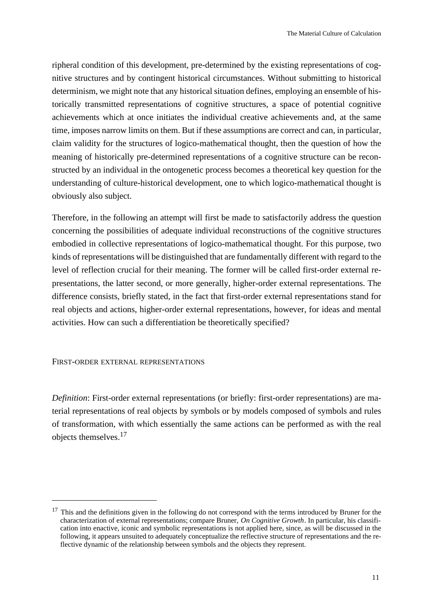ripheral condition of this development, pre-determined by the existing representations of cognitive structures and by contingent historical circumstances. Without submitting to historical determinism, we might note that any historical situation defines, employing an ensemble of historically transmitted representations of cognitive structures, a space of potential cognitive achievements which at once initiates the individual creative achievements and, at the same time, imposes narrow limits on them. But if these assumptions are correct and can, in particular, claim validity for the structures of logico-mathematical thought, then the question of how the meaning of historically pre-determined representations of a cognitive structure can be reconstructed by an individual in the ontogenetic process becomes a theoretical key question for the understanding of culture-historical development, one to which logico-mathematical thought is obviously also subject.

Therefore, in the following an attempt will first be made to satisfactorily address the question concerning the possibilities of adequate individual reconstructions of the cognitive structures embodied in collective representations of logico-mathematical thought. For this purpose, two kinds of representations will be distinguished that are fundamentally different with regard to the level of reflection crucial for their meaning. The former will be called first-order external representations, the latter second, or more generally, higher-order external representations. The difference consists, briefly stated, in the fact that first-order external representations stand for real objects and actions, higher-order external representations, however, for ideas and mental activities. How can such a differentiation be theoretically specified?

## FIRST-ORDER EXTERNAL REPRESENTATIONS

*Definition*: First-order external representations (or briefly: first-order representations) are material representations of real objects by symbols or by models composed of symbols and rules of transformation, with which essentially the same actions can be performed as with the real objects themselves.<sup>17</sup>

<sup>&</sup>lt;sup>17</sup> This and the definitions given in the following do not correspond with the terms introduced by Bruner for the characterization of external representations; compare Bruner, *On Cognitive Growth*. In particular, his classification into enactive, iconic and symbolic representations is not applied here, since, as will be discussed in the following, it appears unsuited to adequately conceptualize the reflective structure of representations and the reflective dynamic of the relationship between symbols and the objects they represent.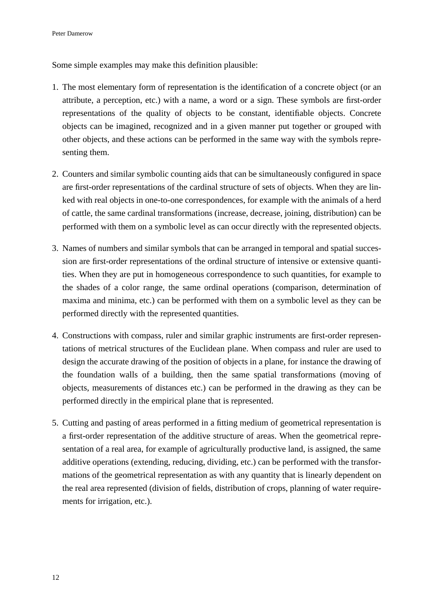Some simple examples may make this definition plausible:

- 1. The most elementary form of representation is the identification of a concrete object (or an attribute, a perception, etc.) with a name, a word or a sign. These symbols are first-order representations of the quality of objects to be constant, identifiable objects. Concrete objects can be imagined, recognized and in a given manner put together or grouped with other objects, and these actions can be performed in the same way with the symbols representing them.
- 2. Counters and similar symbolic counting aids that can be simultaneously configured in space are first-order representations of the cardinal structure of sets of objects. When they are linked with real objects in one-to-one correspondences, for example with the animals of a herd of cattle, the same cardinal transformations (increase, decrease, joining, distribution) can be performed with them on a symbolic level as can occur directly with the represented objects.
- 3. Names of numbers and similar symbols that can be arranged in temporal and spatial succession are first-order representations of the ordinal structure of intensive or extensive quantities. When they are put in homogeneous correspondence to such quantities, for example to the shades of a color range, the same ordinal operations (comparison, determination of maxima and minima, etc.) can be performed with them on a symbolic level as they can be performed directly with the represented quantities.
- 4. Constructions with compass, ruler and similar graphic instruments are first-order representations of metrical structures of the Euclidean plane. When compass and ruler are used to design the accurate drawing of the position of objects in a plane, for instance the drawing of the foundation walls of a building, then the same spatial transformations (moving of objects, measurements of distances etc.) can be performed in the drawing as they can be performed directly in the empirical plane that is represented.
- 5. Cutting and pasting of areas performed in a fitting medium of geometrical representation is a first-order representation of the additive structure of areas. When the geometrical representation of a real area, for example of agriculturally productive land, is assigned, the same additive operations (extending, reducing, dividing, etc.) can be performed with the transformations of the geometrical representation as with any quantity that is linearly dependent on the real area represented (division of fields, distribution of crops, planning of water requirements for irrigation, etc.).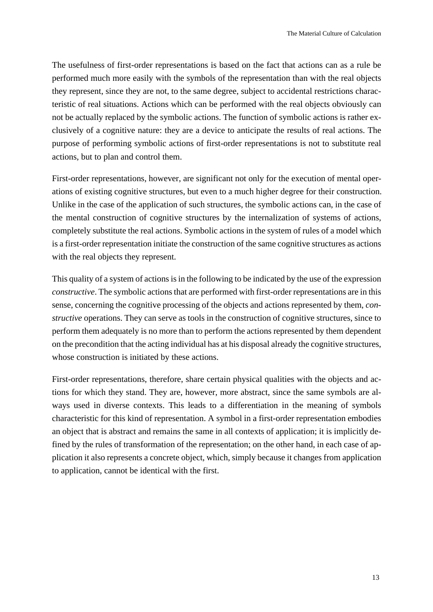The usefulness of first-order representations is based on the fact that actions can as a rule be performed much more easily with the symbols of the representation than with the real objects they represent, since they are not, to the same degree, subject to accidental restrictions characteristic of real situations. Actions which can be performed with the real objects obviously can not be actually replaced by the symbolic actions. The function of symbolic actions is rather exclusively of a cognitive nature: they are a device to anticipate the results of real actions. The purpose of performing symbolic actions of first-order representations is not to substitute real actions, but to plan and control them.

First-order representations, however, are significant not only for the execution of mental operations of existing cognitive structures, but even to a much higher degree for their construction. Unlike in the case of the application of such structures, the symbolic actions can, in the case of the mental construction of cognitive structures by the internalization of systems of actions, completely substitute the real actions. Symbolic actions in the system of rules of a model which is a first-order representation initiate the construction of the same cognitive structures as actions with the real objects they represent.

This quality of a system of actions is in the following to be indicated by the use of the expression *constructive*. The symbolic actions that are performed with first-order representations are in this sense, concerning the cognitive processing of the objects and actions represented by them, *constructive* operations. They can serve as tools in the construction of cognitive structures, since to perform them adequately is no more than to perform the actions represented by them dependent on the precondition that the acting individual has at his disposal already the cognitive structures, whose construction is initiated by these actions.

First-order representations, therefore, share certain physical qualities with the objects and actions for which they stand. They are, however, more abstract, since the same symbols are always used in diverse contexts. This leads to a differentiation in the meaning of symbols characteristic for this kind of representation. A symbol in a first-order representation embodies an object that is abstract and remains the same in all contexts of application; it is implicitly defined by the rules of transformation of the representation; on the other hand, in each case of application it also represents a concrete object, which, simply because it changes from application to application, cannot be identical with the first.

13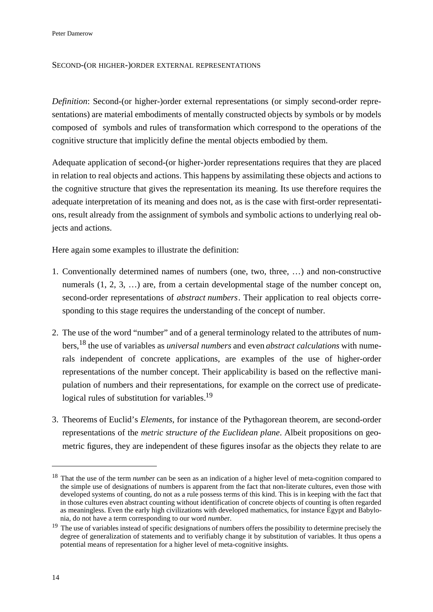Peter Damerow

## SECOND-(OR HIGHER-)ORDER EXTERNAL REPRESENTATIONS

*Definition*: Second-(or higher-)order external representations (or simply second-order representations) are material embodiments of mentally constructed objects by symbols or by models composed of symbols and rules of transformation which correspond to the operations of the cognitive structure that implicitly define the mental objects embodied by them.

Adequate application of second-(or higher-)order representations requires that they are placed in relation to real objects and actions. This happens by assimilating these objects and actions to the cognitive structure that gives the representation its meaning. Its use therefore requires the adequate interpretation of its meaning and does not, as is the case with first-order representations, result already from the assignment of symbols and symbolic actions to underlying real objects and actions.

Here again some examples to illustrate the definition:

- 1. Conventionally determined names of numbers (one, two, three, …) and non-constructive numerals  $(1, 2, 3, ...)$  are, from a certain developmental stage of the number concept on, second-order representations of *abstract numbers*. Their application to real objects corresponding to this stage requires the understanding of the concept of number.
- 2. The use of the word "number" and of a general terminology related to the attributes of numbers,18 the use of variables as *universal numbers* and even *abstract calculations* with numerals independent of concrete applications, are examples of the use of higher-order representations of the number concept. Their applicability is based on the reflective manipulation of numbers and their representations, for example on the correct use of predicatelogical rules of substitution for variables.<sup>19</sup>
- 3. Theorems of Euclid's *Elements*, for instance of the Pythagorean theorem, are second-order representations of the *metric structure of the Euclidean plane*. Albeit propositions on geometric figures, they are independent of these figures insofar as the objects they relate to are

<sup>&</sup>lt;sup>18</sup> That the use of the term *number* can be seen as an indication of a higher level of meta-cognition compared to the simple use of designations of numbers is apparent from the fact that non-literate cultures, even those with developed systems of counting, do not as a rule possess terms of this kind. This is in keeping with the fact that in those cultures even abstract counting without identification of concrete objects of counting is often regarded as meaningless. Even the early high civilizations with developed mathematics, for instance Egypt and Babylonia, do not have a term corresponding to our word *numbe*r.

<sup>&</sup>lt;sup>19</sup> The use of variables instead of specific designations of numbers offers the possibility to determine precisely the degree of generalization of statements and to verifiably change it by substitution of variables. It thus opens a potential means of representation for a higher level of meta-cognitive insights.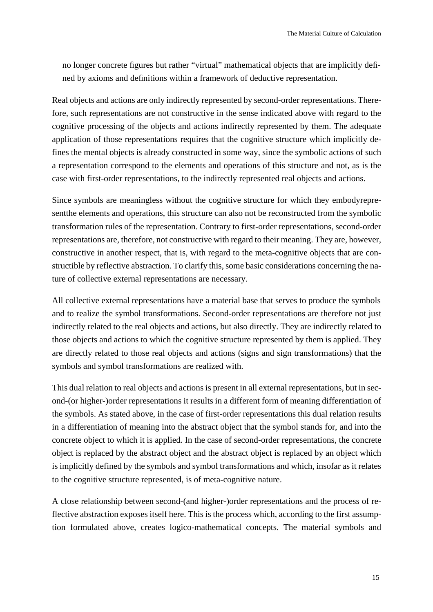no longer concrete figures but rather "virtual" mathematical objects that are implicitly defined by axioms and definitions within a framework of deductive representation.

Real objects and actions are only indirectly represented by second-order representations. Therefore, such representations are not constructive in the sense indicated above with regard to the cognitive processing of the objects and actions indirectly represented by them. The adequate application of those representations requires that the cognitive structure which implicitly defines the mental objects is already constructed in some way, since the symbolic actions of such a representation correspond to the elements and operations of this structure and not, as is the case with first-order representations, to the indirectly represented real objects and actions.

Since symbols are meaningless without the cognitive structure for which they embodyrepresentthe elements and operations, this structure can also not be reconstructed from the symbolic transformation rules of the representation. Contrary to first-order representations, second-order representations are, therefore, not constructive with regard to their meaning. They are, however, constructive in another respect, that is, with regard to the meta-cognitive objects that are constructible by reflective abstraction. To clarify this, some basic considerations concerning the nature of collective external representations are necessary.

All collective external representations have a material base that serves to produce the symbols and to realize the symbol transformations. Second-order representations are therefore not just indirectly related to the real objects and actions, but also directly. They are indirectly related to those objects and actions to which the cognitive structure represented by them is applied. They are directly related to those real objects and actions (signs and sign transformations) that the symbols and symbol transformations are realized with.

This dual relation to real objects and actions is present in all external representations, but in second-(or higher-)order representations it results in a different form of meaning differentiation of the symbols. As stated above, in the case of first-order representations this dual relation results in a differentiation of meaning into the abstract object that the symbol stands for, and into the concrete object to which it is applied. In the case of second-order representations, the concrete object is replaced by the abstract object and the abstract object is replaced by an object which is implicitly defined by the symbols and symbol transformations and which, insofar as it relates to the cognitive structure represented, is of meta-cognitive nature.

A close relationship between second-(and higher-)order representations and the process of reflective abstraction exposes itself here. This is the process which, according to the first assumption formulated above, creates logico-mathematical concepts. The material symbols and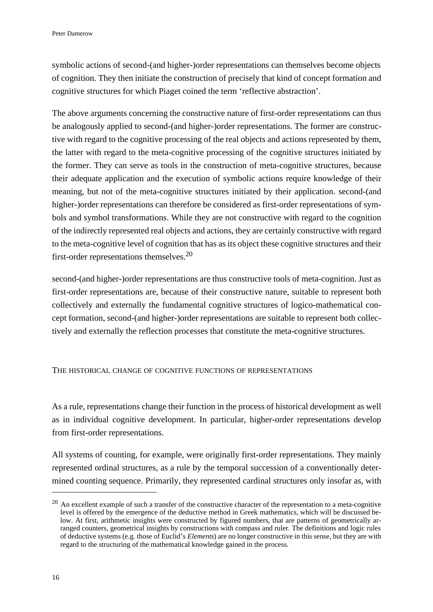symbolic actions of second-(and higher-)order representations can themselves become objects of cognition. They then initiate the construction of precisely that kind of concept formation and cognitive structures for which Piaget coined the term 'reflective abstraction'.

The above arguments concerning the constructive nature of first-order representations can thus be analogously applied to second-(and higher-)order representations. The former are constructive with regard to the cognitive processing of the real objects and actions represented by them, the latter with regard to the meta-cognitive processing of the cognitive structures initiated by the former. They can serve as tools in the construction of meta-cognitive structures, because their adequate application and the execution of symbolic actions require knowledge of their meaning, but not of the meta-cognitive structures initiated by their application. second-(and higher-)order representations can therefore be considered as first-order representations of symbols and symbol transformations. While they are not constructive with regard to the cognition of the indirectly represented real objects and actions, they are certainly constructive with regard to the meta-cognitive level of cognition that has as its object these cognitive structures and their first-order representations themselves.<sup>20</sup>

second-(and higher-)order representations are thus constructive tools of meta-cognition. Just as first-order representations are, because of their constructive nature, suitable to represent both collectively and externally the fundamental cognitive structures of logico-mathematical concept formation, second-(and higher-)order representations are suitable to represent both collectively and externally the reflection processes that constitute the meta-cognitive structures.

## THE HISTORICAL CHANGE OF COGNITIVE FUNCTIONS OF REPRESENTATIONS

As a rule, representations change their function in the process of historical development as well as in individual cognitive development. In particular, higher-order representations develop from first-order representations.

All systems of counting, for example, were originally first-order representations. They mainly represented ordinal structures, as a rule by the temporal succession of a conventionally determined counting sequence. Primarily, they represented cardinal structures only insofar as, with

 $^{20}$  An excellent example of such a transfer of the constructive character of the representation to a meta-cognitive level is offered by the emergence of the deductive method in Greek mathematics, which will be discussed below. At first, arithmetic insights were constructed by figured numbers, that are patterns of geometrically arranged counters, geometrical insights by constructions with compass and ruler. The definitions and logic rules of deductive systems (e.g. those of Euclid's *Elements*) are no longer constructive in this sense, but they are with regard to the structuring of the mathematical knowledge gained in the process.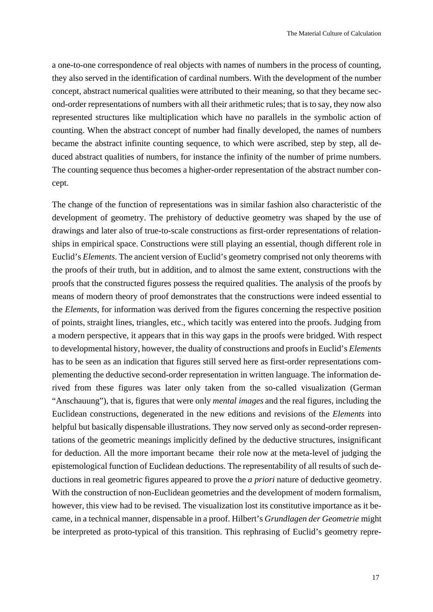a one-to-one correspondence of real objects with names of numbers in the process of counting, they also served in the identification of cardinal numbers. With the development of the number concept, abstract numerical qualities were attributed to their meaning, so that they became second-order representations of numbers with all their arithmetic rules; that is to say, they now also represented structures like multiplication which have no parallels in the symbolic action of counting. When the abstract concept of number had finally developed, the names of numbers became the abstract infinite counting sequence, to which were ascribed, step by step, all deduced abstract qualities of numbers, for instance the infinity of the number of prime numbers. The counting sequence thus becomes a higher-order representation of the abstract number concept.

The change of the function of representations was in similar fashion also characteristic of the development of geometry. The prehistory of deductive geometry was shaped by the use of drawings and later also of true-to-scale constructions as first-order representations of relationships in empirical space. Constructions were still playing an essential, though different role in Euclid's *Elements*. The ancient version of Euclid's geometry comprised not only theorems with the proofs of their truth, but in addition, and to almost the same extent, constructions with the proofs that the constructed figures possess the required qualities. The analysis of the proofs by means of modern theory of proof demonstrates that the constructions were indeed essential to the *Elements*, for information was derived from the figures concerning the respective position of points, straight lines, triangles, etc., which tacitly was entered into the proofs. Judging from a modern perspective, it appears that in this way gaps in the proofs were bridged. With respect to developmental history, however, the duality of constructions and proofs in Euclid's *Elements* has to be seen as an indication that figures still served here as first-order representations complementing the deductive second-order representation in written language. The information derived from these figures was later only taken from the so-called visualization (German "Anschauung"), that is, figures that were only *mental images* and the real figures, including the Euclidean constructions, degenerated in the new editions and revisions of the *Elements* into helpful but basically dispensable illustrations. They now served only as second-order representations of the geometric meanings implicitly defined by the deductive structures, insignificant for deduction. All the more important became their role now at the meta-level of judging the epistemological function of Euclidean deductions. The representability of all results of such deductions in real geometric figures appeared to prove the *a priori* nature of deductive geometry. With the construction of non-Euclidean geometries and the development of modern formalism, however, this view had to be revised. The visualization lost its constitutive importance as it became, in a technical manner, dispensable in a proof. Hilbert's *Grundlagen der Geometrie* might be interpreted as proto-typical of this transition. This rephrasing of Euclid's geometry repre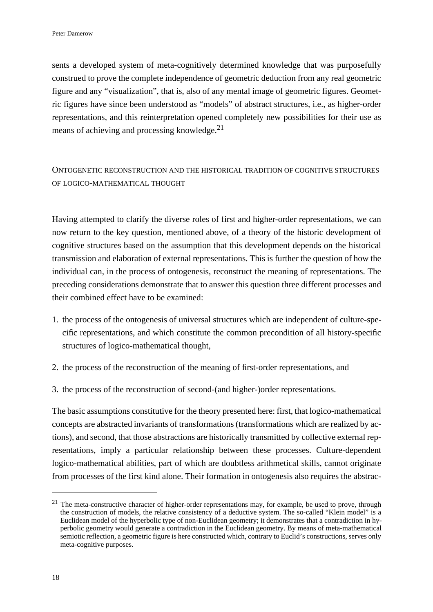sents a developed system of meta-cognitively determined knowledge that was purposefully construed to prove the complete independence of geometric deduction from any real geometric figure and any "visualization", that is, also of any mental image of geometric figures. Geometric figures have since been understood as "models" of abstract structures, i.e., as higher-order representations, and this reinterpretation opened completely new possibilities for their use as means of achieving and processing knowledge.<sup>21</sup>

# ONTOGENETIC RECONSTRUCTION AND THE HISTORICAL TRADITION OF COGNITIVE STRUCTURES OF LOGICO-MATHEMATICAL THOUGHT

Having attempted to clarify the diverse roles of first and higher-order representations, we can now return to the key question, mentioned above, of a theory of the historic development of cognitive structures based on the assumption that this development depends on the historical transmission and elaboration of external representations. This is further the question of how the individual can, in the process of ontogenesis, reconstruct the meaning of representations. The preceding considerations demonstrate that to answer this question three different processes and their combined effect have to be examined:

- 1. the process of the ontogenesis of universal structures which are independent of culture-specific representations, and which constitute the common precondition of all history-specific structures of logico-mathematical thought,
- 2. the process of the reconstruction of the meaning of first-order representations, and
- 3. the process of the reconstruction of second-(and higher-)order representations.

The basic assumptions constitutive for the theory presented here: first, that logico-mathematical concepts are abstracted invariants of transformations (transformations which are realized by actions), and second, that those abstractions are historically transmitted by collective external representations, imply a particular relationship between these processes. Culture-dependent logico-mathematical abilities, part of which are doubtless arithmetical skills, cannot originate from processes of the first kind alone. Their formation in ontogenesis also requires the abstrac-

 $21$  The meta-constructive character of higher-order representations may, for example, be used to prove, through the construction of models, the relative consistency of a deductive system. The so-called "Klein model" is a Euclidean model of the hyperbolic type of non-Euclidean geometry; it demonstrates that a contradiction in hyperbolic geometry would generate a contradiction in the Euclidean geometry. By means of meta-mathematical semiotic reflection, a geometric figure is here constructed which, contrary to Euclid's constructions, serves only meta-cognitive purposes.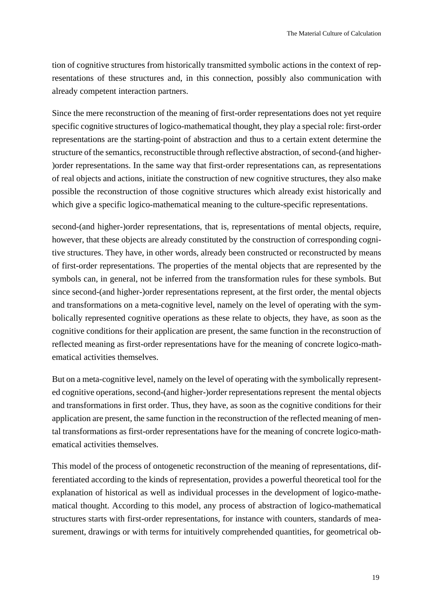tion of cognitive structures from historically transmitted symbolic actions in the context of representations of these structures and, in this connection, possibly also communication with already competent interaction partners.

Since the mere reconstruction of the meaning of first-order representations does not yet require specific cognitive structures of logico-mathematical thought, they play a special role: first-order representations are the starting-point of abstraction and thus to a certain extent determine the structure of the semantics, reconstructible through reflective abstraction, of second-(and higher- )order representations. In the same way that first-order representations can, as representations of real objects and actions, initiate the construction of new cognitive structures, they also make possible the reconstruction of those cognitive structures which already exist historically and which give a specific logico-mathematical meaning to the culture-specific representations.

second-(and higher-)order representations, that is, representations of mental objects, require, however, that these objects are already constituted by the construction of corresponding cognitive structures. They have, in other words, already been constructed or reconstructed by means of first-order representations. The properties of the mental objects that are represented by the symbols can, in general, not be inferred from the transformation rules for these symbols. But since second-(and higher-)order representations represent, at the first order, the mental objects and transformations on a meta-cognitive level, namely on the level of operating with the symbolically represented cognitive operations as these relate to objects, they have, as soon as the cognitive conditions for their application are present, the same function in the reconstruction of reflected meaning as first-order representations have for the meaning of concrete logico-mathematical activities themselves.

But on a meta-cognitive level, namely on the level of operating with the symbolically represented cognitive operations, second-(and higher-)order representations represent the mental objects and transformations in first order. Thus, they have, as soon as the cognitive conditions for their application are present, the same function in the reconstruction of the reflected meaning of mental transformations as first-order representations have for the meaning of concrete logico-mathematical activities themselves.

This model of the process of ontogenetic reconstruction of the meaning of representations, differentiated according to the kinds of representation, provides a powerful theoretical tool for the explanation of historical as well as individual processes in the development of logico-mathematical thought. According to this model, any process of abstraction of logico-mathematical structures starts with first-order representations, for instance with counters, standards of measurement, drawings or with terms for intuitively comprehended quantities, for geometrical ob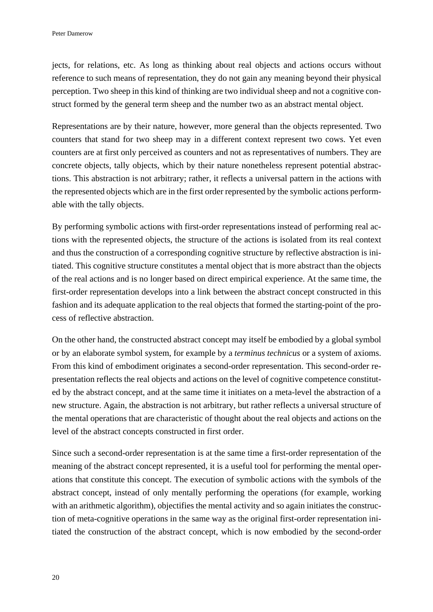jects, for relations, etc. As long as thinking about real objects and actions occurs without reference to such means of representation, they do not gain any meaning beyond their physical perception. Two sheep in this kind of thinking are two individual sheep and not a cognitive construct formed by the general term sheep and the number two as an abstract mental object.

Representations are by their nature, however, more general than the objects represented. Two counters that stand for two sheep may in a different context represent two cows. Yet even counters are at first only perceived as counters and not as representatives of numbers. They are concrete objects, tally objects, which by their nature nonetheless represent potential abstractions. This abstraction is not arbitrary; rather, it reflects a universal pattern in the actions with the represented objects which are in the first order represented by the symbolic actions performable with the tally objects.

By performing symbolic actions with first-order representations instead of performing real actions with the represented objects, the structure of the actions is isolated from its real context and thus the construction of a corresponding cognitive structure by reflective abstraction is initiated. This cognitive structure constitutes a mental object that is more abstract than the objects of the real actions and is no longer based on direct empirical experience. At the same time, the first-order representation develops into a link between the abstract concept constructed in this fashion and its adequate application to the real objects that formed the starting-point of the process of reflective abstraction.

On the other hand, the constructed abstract concept may itself be embodied by a global symbol or by an elaborate symbol system, for example by a *terminus technicus* or a system of axioms. From this kind of embodiment originates a second-order representation. This second-order representation reflects the real objects and actions on the level of cognitive competence constituted by the abstract concept, and at the same time it initiates on a meta-level the abstraction of a new structure. Again, the abstraction is not arbitrary, but rather reflects a universal structure of the mental operations that are characteristic of thought about the real objects and actions on the level of the abstract concepts constructed in first order.

Since such a second-order representation is at the same time a first-order representation of the meaning of the abstract concept represented, it is a useful tool for performing the mental operations that constitute this concept. The execution of symbolic actions with the symbols of the abstract concept, instead of only mentally performing the operations (for example, working with an arithmetic algorithm), objectifies the mental activity and so again initiates the construction of meta-cognitive operations in the same way as the original first-order representation initiated the construction of the abstract concept, which is now embodied by the second-order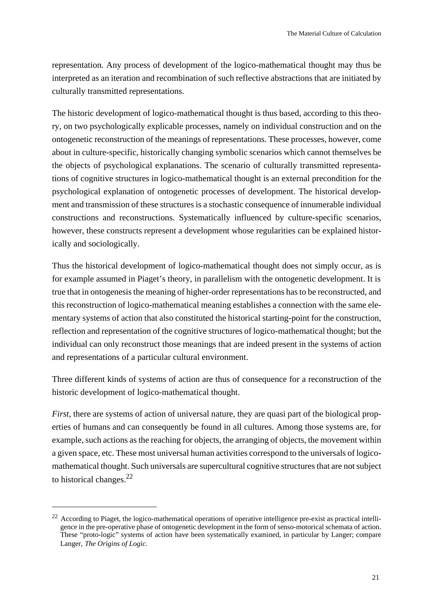representation. Any process of development of the logico-mathematical thought may thus be interpreted as an iteration and recombination of such reflective abstractions that are initiated by culturally transmitted representations.

The historic development of logico-mathematical thought is thus based, according to this theory, on two psychologically explicable processes, namely on individual construction and on the ontogenetic reconstruction of the meanings of representations. These processes, however, come about in culture-specific, historically changing symbolic scenarios which cannot themselves be the objects of psychological explanations. The scenario of culturally transmitted representations of cognitive structures in logico-mathematical thought is an external precondition for the psychological explanation of ontogenetic processes of development. The historical development and transmission of these structures is a stochastic consequence of innumerable individual constructions and reconstructions. Systematically influenced by culture-specific scenarios, however, these constructs represent a development whose regularities can be explained historically and sociologically.

Thus the historical development of logico-mathematical thought does not simply occur, as is for example assumed in Piaget's theory, in parallelism with the ontogenetic development. It is true that in ontogenesis the meaning of higher-order representations has to be reconstructed, and this reconstruction of logico-mathematical meaning establishes a connection with the same elementary systems of action that also constituted the historical starting-point for the construction, reflection and representation of the cognitive structures of logico-mathematical thought; but the individual can only reconstruct those meanings that are indeed present in the systems of action and representations of a particular cultural environment.

Three different kinds of systems of action are thus of consequence for a reconstruction of the historic development of logico-mathematical thought.

*First*, there are systems of action of universal nature, they are quasi part of the biological properties of humans and can consequently be found in all cultures. Among those systems are, for example, such actions as the reaching for objects, the arranging of objects, the movement within a given space, etc. These most universal human activities correspond to the universals of logicomathematical thought. Such universals are supercultural cognitive structures that are not subject to historical changes. $^{22}$ 

 $22$  According to Piaget, the logico-mathematical operations of operative intelligence pre-exist as practical intelligence in the pre-operative phase of ontogenetic development in the form of senso-motorical schemata of action. These "proto-logic" systems of action have been systematically examined, in particular by Langer; compare Langer, *The Origins of Logic*.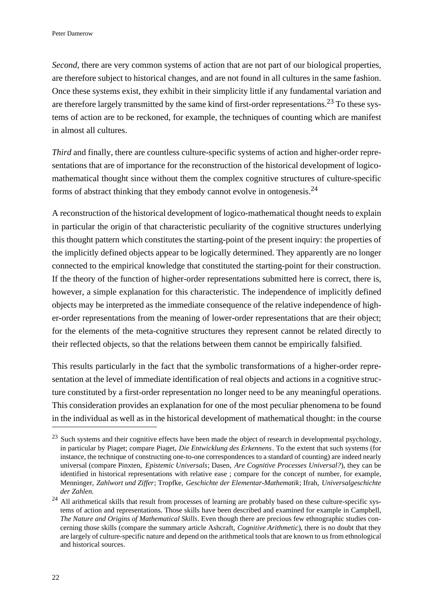*Second*, there are very common systems of action that are not part of our biological properties, are therefore subject to historical changes, and are not found in all cultures in the same fashion. Once these systems exist, they exhibit in their simplicity little if any fundamental variation and are therefore largely transmitted by the same kind of first-order representations.<sup>23</sup> To these systems of action are to be reckoned, for example, the techniques of counting which are manifest in almost all cultures.

*Third* and finally, there are countless culture-specific systems of action and higher-order representations that are of importance for the reconstruction of the historical development of logicomathematical thought since without them the complex cognitive structures of culture-specific forms of abstract thinking that they embody cannot evolve in ontogenesis.<sup>24</sup>

A reconstruction of the historical development of logico-mathematical thought needs to explain in particular the origin of that characteristic peculiarity of the cognitive structures underlying this thought pattern which constitutes the starting-point of the present inquiry: the properties of the implicitly defined objects appear to be logically determined. They apparently are no longer connected to the empirical knowledge that constituted the starting-point for their construction. If the theory of the function of higher-order representations submitted here is correct, there is, however, a simple explanation for this characteristic. The independence of implicitly defined objects may be interpreted as the immediate consequence of the relative independence of higher-order representations from the meaning of lower-order representations that are their object; for the elements of the meta-cognitive structures they represent cannot be related directly to their reflected objects, so that the relations between them cannot be empirically falsified.

This results particularly in the fact that the symbolic transformations of a higher-order representation at the level of immediate identification of real objects and actions in a cognitive structure constituted by a first-order representation no longer need to be any meaningful operations. This consideration provides an explanation for one of the most peculiar phenomena to be found in the individual as well as in the historical development of mathematical thought: in the course

<sup>&</sup>lt;sup>23</sup> Such systems and their cognitive effects have been made the object of research in developmental psychology, in particular by Piaget; compare Piaget, *Die Entwicklung des Erkennens*. To the extent that such systems (for instance, the technique of constructing one-to-one correspondences to a standard of counting) are indeed nearly universal (compare Pinxten, *Epistemic Universals*; Dasen, *Are Cognitive Processes Universal?*), they can be identified in historical representations with relative ease ; compare for the concept of number, for example, Menninger, *Zahlwort und Ziffer*; Tropfke, *Geschichte der Elementar-Mathematik*; Ifrah, *Universalgeschichte der Zahlen*.

<sup>&</sup>lt;sup>24</sup> All arithmetical skills that result from processes of learning are probably based on these culture-specific systems of action and representations. Those skills have been described and examined for example in Campbell, *The Nature and Origins of Mathematical Skills*. Even though there are precious few ethnographic studies concerning those skills (compare the summary article Ashcraft, *Cognitive Arithmetic*), there is no doubt that they are largely of culture-specific nature and depend on the arithmetical tools that are known to us from ethnological and historical sources.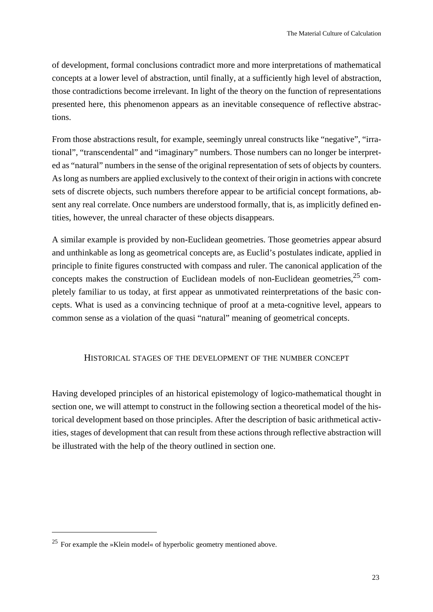of development, formal conclusions contradict more and more interpretations of mathematical concepts at a lower level of abstraction, until finally, at a sufficiently high level of abstraction, those contradictions become irrelevant. In light of the theory on the function of representations presented here, this phenomenon appears as an inevitable consequence of reflective abstractions.

From those abstractions result, for example, seemingly unreal constructs like "negative", "irrational", "transcendental" and "imaginary" numbers. Those numbers can no longer be interpreted as "natural" numbers in the sense of the original representation of sets of objects by counters. As long as numbers are applied exclusively to the context of their origin in actions with concrete sets of discrete objects, such numbers therefore appear to be artificial concept formations, absent any real correlate. Once numbers are understood formally, that is, as implicitly defined entities, however, the unreal character of these objects disappears.

A similar example is provided by non-Euclidean geometries. Those geometries appear absurd and unthinkable as long as geometrical concepts are, as Euclid's postulates indicate, applied in principle to finite figures constructed with compass and ruler. The canonical application of the concepts makes the construction of Euclidean models of non-Euclidean geometries,<sup>25</sup> completely familiar to us today, at first appear as unmotivated reinterpretations of the basic concepts. What is used as a convincing technique of proof at a meta-cognitive level, appears to common sense as a violation of the quasi "natural" meaning of geometrical concepts.

## HISTORICAL STAGES OF THE DEVELOPMENT OF THE NUMBER CONCEPT

Having developed principles of an historical epistemology of logico-mathematical thought in section one, we will attempt to construct in the following section a theoretical model of the historical development based on those principles. After the description of basic arithmetical activities, stages of development that can result from these actions through reflective abstraction will be illustrated with the help of the theory outlined in section one.

 $25$  For example the »Klein model« of hyperbolic geometry mentioned above.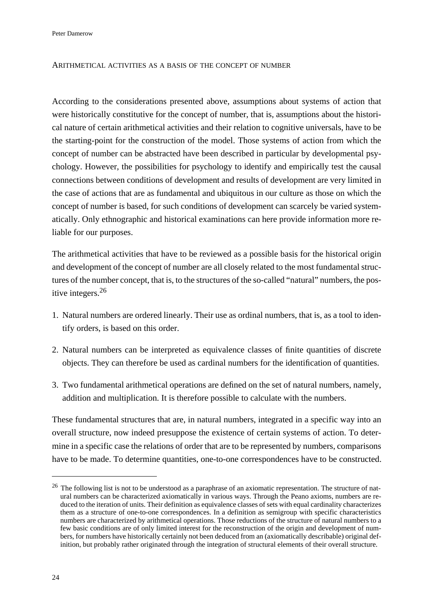Peter Damerow

### ARITHMETICAL ACTIVITIES AS A BASIS OF THE CONCEPT OF NUMBER

According to the considerations presented above, assumptions about systems of action that were historically constitutive for the concept of number, that is, assumptions about the historical nature of certain arithmetical activities and their relation to cognitive universals, have to be the starting-point for the construction of the model. Those systems of action from which the concept of number can be abstracted have been described in particular by developmental psychology. However, the possibilities for psychology to identify and empirically test the causal connections between conditions of development and results of development are very limited in the case of actions that are as fundamental and ubiquitous in our culture as those on which the concept of number is based, for such conditions of development can scarcely be varied systematically. Only ethnographic and historical examinations can here provide information more reliable for our purposes.

The arithmetical activities that have to be reviewed as a possible basis for the historical origin and development of the concept of number are all closely related to the most fundamental structures of the number concept, that is, to the structures of the so-called "natural" numbers, the positive integers.<sup>26</sup>

- 1. Natural numbers are ordered linearly. Their use as ordinal numbers, that is, as a tool to identify orders, is based on this order.
- 2. Natural numbers can be interpreted as equivalence classes of finite quantities of discrete objects. They can therefore be used as cardinal numbers for the identification of quantities.
- 3. Two fundamental arithmetical operations are defined on the set of natural numbers, namely, addition and multiplication. It is therefore possible to calculate with the numbers.

These fundamental structures that are, in natural numbers, integrated in a specific way into an overall structure, now indeed presuppose the existence of certain systems of action. To determine in a specific case the relations of order that are to be represented by numbers, comparisons have to be made. To determine quantities, one-to-one correspondences have to be constructed.

 $26$  The following list is not to be understood as a paraphrase of an axiomatic representation. The structure of natural numbers can be characterized axiomatically in various ways. Through the Peano axioms, numbers are reduced to the iteration of units. Their definition as equivalence classes of sets with equal cardinality characterizes them as a structure of one-to-one correspondences. In a definition as semigroup with specific characteristics numbers are characterized by arithmetical operations. Those reductions of the structure of natural numbers to a few basic conditions are of only limited interest for the reconstruction of the origin and development of numbers, for numbers have historically certainly not been deduced from an (axiomatically describable) original definition, but probably rather originated through the integration of structural elements of their overall structure.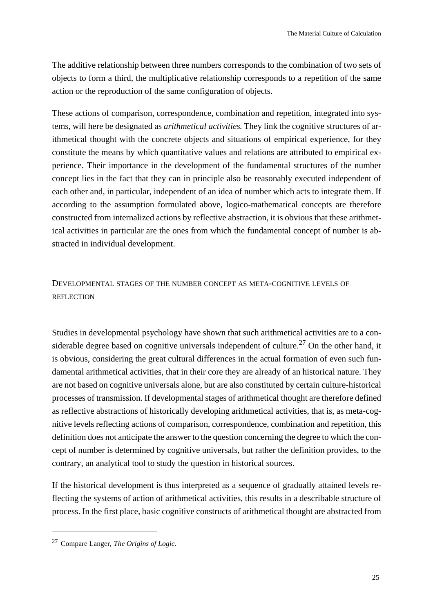The additive relationship between three numbers corresponds to the combination of two sets of objects to form a third, the multiplicative relationship corresponds to a repetition of the same action or the reproduction of the same configuration of objects.

These actions of comparison, correspondence, combination and repetition, integrated into systems, will here be designated as *arithmetical activities*. They link the cognitive structures of arithmetical thought with the concrete objects and situations of empirical experience, for they constitute the means by which quantitative values and relations are attributed to empirical experience. Their importance in the development of the fundamental structures of the number concept lies in the fact that they can in principle also be reasonably executed independent of each other and, in particular, independent of an idea of number which acts to integrate them. If according to the assumption formulated above, logico-mathematical concepts are therefore constructed from internalized actions by reflective abstraction, it is obvious that these arithmetical activities in particular are the ones from which the fundamental concept of number is abstracted in individual development.

# DEVELOPMENTAL STAGES OF THE NUMBER CONCEPT AS META-COGNITIVE LEVELS OF REFLECTION

Studies in developmental psychology have shown that such arithmetical activities are to a considerable degree based on cognitive universals independent of culture.<sup>27</sup> On the other hand, it is obvious, considering the great cultural differences in the actual formation of even such fundamental arithmetical activities, that in their core they are already of an historical nature. They are not based on cognitive universals alone, but are also constituted by certain culture-historical processes of transmission. If developmental stages of arithmetical thought are therefore defined as reflective abstractions of historically developing arithmetical activities, that is, as meta-cognitive levels reflecting actions of comparison, correspondence, combination and repetition, this definition does not anticipate the answer to the question concerning the degree to which the concept of number is determined by cognitive universals, but rather the definition provides, to the contrary, an analytical tool to study the question in historical sources.

If the historical development is thus interpreted as a sequence of gradually attained levels reflecting the systems of action of arithmetical activities, this results in a describable structure of process. In the first place, basic cognitive constructs of arithmetical thought are abstracted from

<sup>27</sup>Compare Langer, *The Origins of Logic*.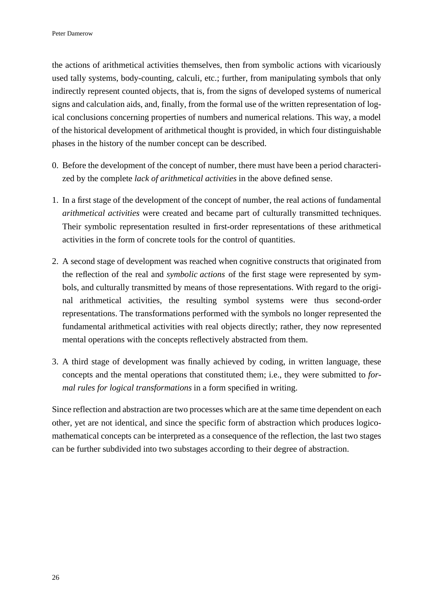the actions of arithmetical activities themselves, then from symbolic actions with vicariously used tally systems, body-counting, calculi, etc.; further, from manipulating symbols that only indirectly represent counted objects, that is, from the signs of developed systems of numerical signs and calculation aids, and, finally, from the formal use of the written representation of logical conclusions concerning properties of numbers and numerical relations. This way, a model of the historical development of arithmetical thought is provided, in which four distinguishable phases in the history of the number concept can be described.

- 0. Before the development of the concept of number, there must have been a period characterized by the complete *lack of arithmetical activities* in the above defined sense.
- 1. In a first stage of the development of the concept of number, the real actions of fundamental *arithmetical activities* were created and became part of culturally transmitted techniques. Their symbolic representation resulted in first-order representations of these arithmetical activities in the form of concrete tools for the control of quantities.
- 2. A second stage of development was reached when cognitive constructs that originated from the reflection of the real and *symbolic actions* of the first stage were represented by symbols, and culturally transmitted by means of those representations. With regard to the original arithmetical activities, the resulting symbol systems were thus second-order representations. The transformations performed with the symbols no longer represented the fundamental arithmetical activities with real objects directly; rather, they now represented mental operations with the concepts reflectively abstracted from them.
- 3. A third stage of development was finally achieved by coding, in written language, these concepts and the mental operations that constituted them; i.e., they were submitted to *formal rules for logical transformations* in a form specified in writing.

Since reflection and abstraction are two processes which are at the same time dependent on each other, yet are not identical, and since the specific form of abstraction which produces logicomathematical concepts can be interpreted as a consequence of the reflection, the last two stages can be further subdivided into two substages according to their degree of abstraction.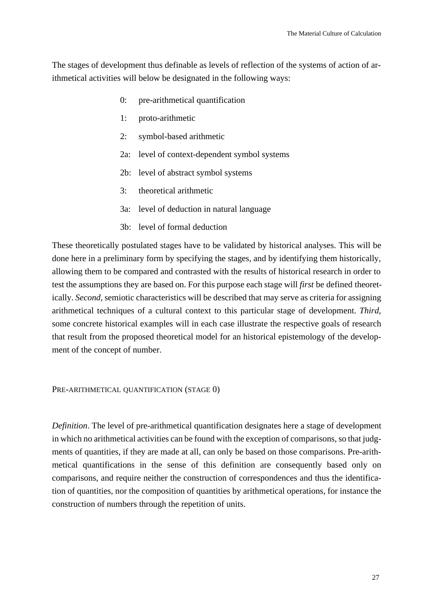The stages of development thus definable as levels of reflection of the systems of action of arithmetical activities will below be designated in the following ways:

- 0: pre-arithmetical quantification
- 1: proto-arithmetic
- 2: symbol-based arithmetic
- 2a: level of context-dependent symbol systems
- 2b: level of abstract symbol systems
- 3: theoretical arithmetic
- 3a: level of deduction in natural language
- 3b: level of formal deduction

These theoretically postulated stages have to be validated by historical analyses. This will be done here in a preliminary form by specifying the stages, and by identifying them historically, allowing them to be compared and contrasted with the results of historical research in order to test the assumptions they are based on. For this purpose each stage will *first* be defined theoretically. *Second*, semiotic characteristics will be described that may serve as criteria for assigning arithmetical techniques of a cultural context to this particular stage of development. *Third*, some concrete historical examples will in each case illustrate the respective goals of research that result from the proposed theoretical model for an historical epistemology of the development of the concept of number.

PRE-ARITHMETICAL QUANTIFICATION (STAGE 0)

*Definition*. The level of pre-arithmetical quantification designates here a stage of development in which no arithmetical activities can be found with the exception of comparisons, so that judgments of quantities, if they are made at all, can only be based on those comparisons. Pre-arithmetical quantifications in the sense of this definition are consequently based only on comparisons, and require neither the construction of correspondences and thus the identification of quantities, nor the composition of quantities by arithmetical operations, for instance the construction of numbers through the repetition of units.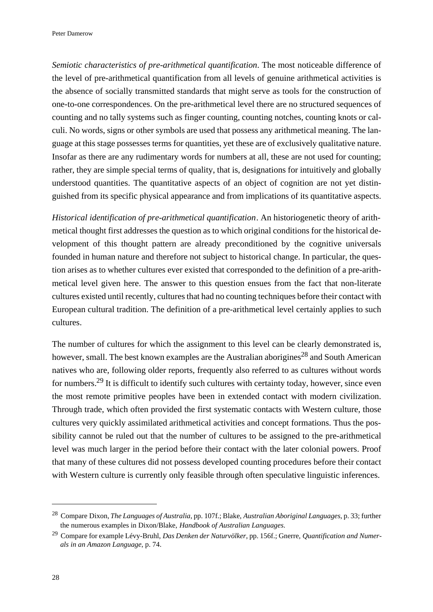*Semiotic characteristics of pre-arithmetical quantification*. The most noticeable difference of the level of pre-arithmetical quantification from all levels of genuine arithmetical activities is the absence of socially transmitted standards that might serve as tools for the construction of one-to-one correspondences. On the pre-arithmetical level there are no structured sequences of counting and no tally systems such as finger counting, counting notches, counting knots or calculi. No words, signs or other symbols are used that possess any arithmetical meaning. The language at this stage possesses terms for quantities, yet these are of exclusively qualitative nature. Insofar as there are any rudimentary words for numbers at all, these are not used for counting; rather, they are simple special terms of quality, that is, designations for intuitively and globally understood quantities. The quantitative aspects of an object of cognition are not yet distinguished from its specific physical appearance and from implications of its quantitative aspects.

*Historical identification of pre-arithmetical quantification*. An historiogenetic theory of arithmetical thought first addresses the question as to which original conditions for the historical development of this thought pattern are already preconditioned by the cognitive universals founded in human nature and therefore not subject to historical change. In particular, the question arises as to whether cultures ever existed that corresponded to the definition of a pre-arithmetical level given here. The answer to this question ensues from the fact that non-literate cultures existed until recently, cultures that had no counting techniques before their contact with European cultural tradition. The definition of a pre-arithmetical level certainly applies to such cultures.

The number of cultures for which the assignment to this level can be clearly demonstrated is, however, small. The best known examples are the Australian aborigines<sup>28</sup> and South American natives who are, following older reports, frequently also referred to as cultures without words for numbers.29 It is difficult to identify such cultures with certainty today, however, since even the most remote primitive peoples have been in extended contact with modern civilization. Through trade, which often provided the first systematic contacts with Western culture, those cultures very quickly assimilated arithmetical activities and concept formations. Thus the possibility cannot be ruled out that the number of cultures to be assigned to the pre-arithmetical level was much larger in the period before their contact with the later colonial powers. Proof that many of these cultures did not possess developed counting procedures before their contact with Western culture is currently only feasible through often speculative linguistic inferences.

<sup>28</sup>Compare Dixon,*The Languages of Australia*, pp. 107f.; Blake, *Australian Aboriginal Languages*, p. 33; further the numerous examples in Dixon/Blake, *Handbook of Australian Languages*.

<sup>29</sup>Compare for example Lévy-Bruhl, *Das Denken der Naturvölker*, pp. 156f.; Gnerre, *Quantification and Numerals in an Amazon Language*, p. 74.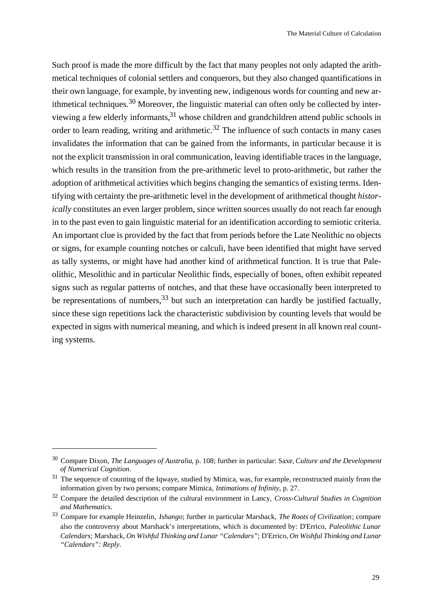Such proof is made the more difficult by the fact that many peoples not only adapted the arithmetical techniques of colonial settlers and conquerors, but they also changed quantifications in their own language, for example, by inventing new, indigenous words for counting and new arithmetical techniques.<sup>30</sup> Moreover, the linguistic material can often only be collected by interviewing a few elderly informants,31 whose children and grandchildren attend public schools in order to learn reading, writing and arithmetic.<sup>32</sup> The influence of such contacts in many cases invalidates the information that can be gained from the informants, in particular because it is not the explicit transmission in oral communication, leaving identifiable traces in the language, which results in the transition from the pre-arithmetic level to proto-arithmetic, but rather the adoption of arithmetical activities which begins changing the semantics of existing terms. Identifying with certainty the pre-arithmetic level in the development of arithmetical thought *historically* constitutes an even larger problem, since written sources usually do not reach far enough in to the past even to gain linguistic material for an identification according to semiotic criteria. An important clue is provided by the fact that from periods before the Late Neolithic no objects or signs, for example counting notches or calculi, have been identified that might have served as tally systems, or might have had another kind of arithmetical function. It is true that Paleolithic, Mesolithic and in particular Neolithic finds, especially of bones, often exhibit repeated signs such as regular patterns of notches, and that these have occasionally been interpreted to be representations of numbers,  $33$  but such an interpretation can hardly be justified factually, since these sign repetitions lack the characteristic subdivision by counting levels that would be expected in signs with numerical meaning, and which is indeed present in all known real counting systems.

<sup>30</sup>Compare Dixon, *The Languages of Australia*, p. 108; further in particular: Saxe, *Culture and the Development of Numerical Cognition*.

<sup>&</sup>lt;sup>31</sup> The sequence of counting of the Iqwaye, studied by Mimica, was, for example, reconstructed mainly from the information given by two persons; compare Mimica, *Intimations of Infinity*, p. 27.

<sup>32</sup>Compare the detailed description of the cultural environment in Lancy, *Cross-Cultural Studies in Cognition and Mathematics*.

<sup>33</sup>Compare for example Heinzelin, *Ishango*; further in particular Marshack, *The Roots of Civilization*; compare also the controversy about Marshack's interpretations, which is documented by: D'Errico, *Paleolithic Lunar Calendars*; Marshack, *On Wishful Thinking and Lunar "Calendars"*; D'Errico, *On Wishful Thinking and Lunar "Calendars": Reply*.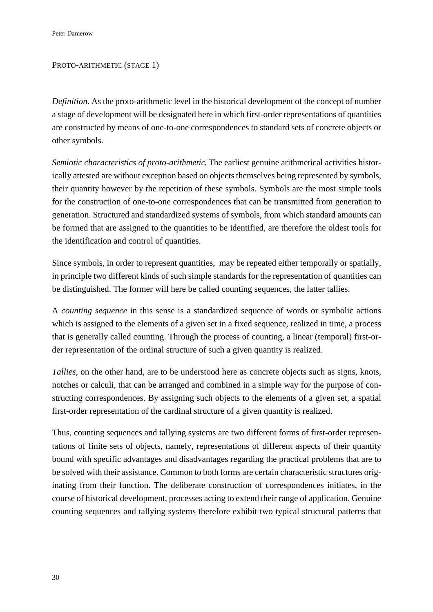## PROTO-ARITHMETIC (STAGE 1)

*Definition*. As the proto-arithmetic level in the historical development of the concept of number a stage of development will be designated here in which first-order representations of quantities are constructed by means of one-to-one correspondences to standard sets of concrete objects or other symbols.

*Semiotic characteristics of proto-arithmetic*. The earliest genuine arithmetical activities historically attested are without exception based on objects themselves being represented by symbols, their quantity however by the repetition of these symbols. Symbols are the most simple tools for the construction of one-to-one correspondences that can be transmitted from generation to generation. Structured and standardized systems of symbols, from which standard amounts can be formed that are assigned to the quantities to be identified, are therefore the oldest tools for the identification and control of quantities.

Since symbols, in order to represent quantities, may be repeated either temporally or spatially, in principle two different kinds of such simple standards for the representation of quantities can be distinguished. The former will here be called counting sequences, the latter tallies.

A *counting sequence* in this sense is a standardized sequence of words or symbolic actions which is assigned to the elements of a given set in a fixed sequence, realized in time, a process that is generally called counting. Through the process of counting, a linear (temporal) first-order representation of the ordinal structure of such a given quantity is realized.

*Tallies*, on the other hand, are to be understood here as concrete objects such as signs, knots, notches or calculi, that can be arranged and combined in a simple way for the purpose of constructing correspondences. By assigning such objects to the elements of a given set, a spatial first-order representation of the cardinal structure of a given quantity is realized.

Thus, counting sequences and tallying systems are two different forms of first-order representations of finite sets of objects, namely, representations of different aspects of their quantity bound with specific advantages and disadvantages regarding the practical problems that are to be solved with their assistance. Common to both forms are certain characteristic structures originating from their function. The deliberate construction of correspondences initiates, in the course of historical development, processes acting to extend their range of application. Genuine counting sequences and tallying systems therefore exhibit two typical structural patterns that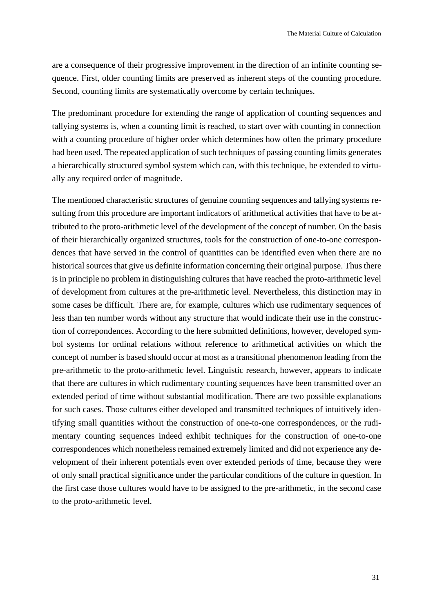are a consequence of their progressive improvement in the direction of an infinite counting sequence. First, older counting limits are preserved as inherent steps of the counting procedure. Second, counting limits are systematically overcome by certain techniques.

The predominant procedure for extending the range of application of counting sequences and tallying systems is, when a counting limit is reached, to start over with counting in connection with a counting procedure of higher order which determines how often the primary procedure had been used. The repeated application of such techniques of passing counting limits generates a hierarchically structured symbol system which can, with this technique, be extended to virtually any required order of magnitude.

The mentioned characteristic structures of genuine counting sequences and tallying systems resulting from this procedure are important indicators of arithmetical activities that have to be attributed to the proto-arithmetic level of the development of the concept of number. On the basis of their hierarchically organized structures, tools for the construction of one-to-one correspondences that have served in the control of quantities can be identified even when there are no historical sources that give us definite information concerning their original purpose. Thus there is in principle no problem in distinguishing cultures that have reached the proto-arithmetic level of development from cultures at the pre-arithmetic level. Nevertheless, this distinction may in some cases be difficult. There are, for example, cultures which use rudimentary sequences of less than ten number words without any structure that would indicate their use in the construction of correpondences. According to the here submitted definitions, however, developed symbol systems for ordinal relations without reference to arithmetical activities on which the concept of number is based should occur at most as a transitional phenomenon leading from the pre-arithmetic to the proto-arithmetic level. Linguistic research, however, appears to indicate that there are cultures in which rudimentary counting sequences have been transmitted over an extended period of time without substantial modification. There are two possible explanations for such cases. Those cultures either developed and transmitted techniques of intuitively identifying small quantities without the construction of one-to-one correspondences, or the rudimentary counting sequences indeed exhibit techniques for the construction of one-to-one correspondences which nonetheless remained extremely limited and did not experience any development of their inherent potentials even over extended periods of time, because they were of only small practical significance under the particular conditions of the culture in question. In the first case those cultures would have to be assigned to the pre-arithmetic, in the second case to the proto-arithmetic level.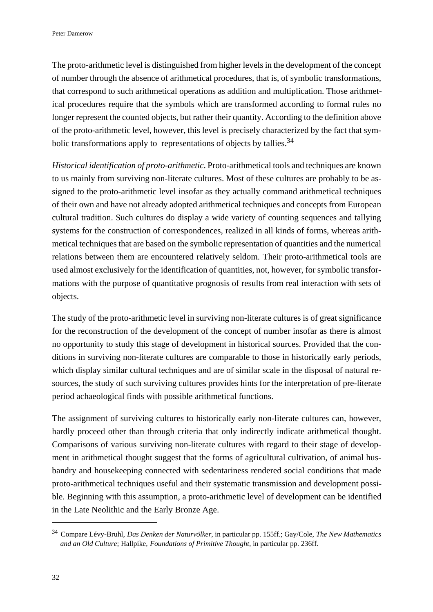The proto-arithmetic level is distinguished from higher levels in the development of the concept of number through the absence of arithmetical procedures, that is, of symbolic transformations, that correspond to such arithmetical operations as addition and multiplication. Those arithmetical procedures require that the symbols which are transformed according to formal rules no longer represent the counted objects, but rather their quantity. According to the definition above of the proto-arithmetic level, however, this level is precisely characterized by the fact that symbolic transformations apply to representations of objects by tallies.<sup>34</sup>

*Historical identification of proto-arithmetic*. Proto-arithmetical tools and techniques are known to us mainly from surviving non-literate cultures. Most of these cultures are probably to be assigned to the proto-arithmetic level insofar as they actually command arithmetical techniques of their own and have not already adopted arithmetical techniques and concepts from European cultural tradition. Such cultures do display a wide variety of counting sequences and tallying systems for the construction of correspondences, realized in all kinds of forms, whereas arithmetical techniques that are based on the symbolic representation of quantities and the numerical relations between them are encountered relatively seldom. Their proto-arithmetical tools are used almost exclusively for the identification of quantities, not, however, for symbolic transformations with the purpose of quantitative prognosis of results from real interaction with sets of objects.

The study of the proto-arithmetic level in surviving non-literate cultures is of great significance for the reconstruction of the development of the concept of number insofar as there is almost no opportunity to study this stage of development in historical sources. Provided that the conditions in surviving non-literate cultures are comparable to those in historically early periods, which display similar cultural techniques and are of similar scale in the disposal of natural resources, the study of such surviving cultures provides hints for the interpretation of pre-literate period achaeological finds with possible arithmetical functions.

The assignment of surviving cultures to historically early non-literate cultures can, however, hardly proceed other than through criteria that only indirectly indicate arithmetical thought. Comparisons of various surviving non-literate cultures with regard to their stage of development in arithmetical thought suggest that the forms of agricultural cultivation, of animal husbandry and housekeeping connected with sedentariness rendered social conditions that made proto-arithmetical techniques useful and their systematic transmission and development possible. Beginning with this assumption, a proto-arithmetic level of development can be identified in the Late Neolithic and the Early Bronze Age.

<sup>34</sup>Compare Lévy-Bruhl, *Das Denken der Naturvölker*, in particular pp. 155ff.; Gay/Cole, *The New Mathematics and an Old Culture*; Hallpike, *Foundations of Primitive Thought*, in particular pp. 236ff.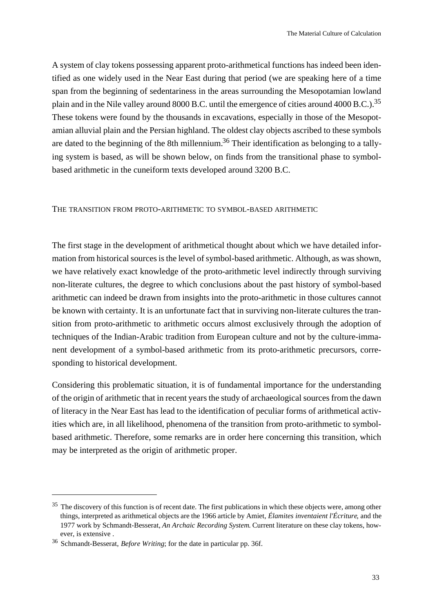A system of clay tokens possessing apparent proto-arithmetical functions has indeed been identified as one widely used in the Near East during that period (we are speaking here of a time span from the beginning of sedentariness in the areas surrounding the Mesopotamian lowland plain and in the Nile valley around 8000 B.C. until the emergence of cities around 4000 B.C.).<sup>35</sup> These tokens were found by the thousands in excavations, especially in those of the Mesopotamian alluvial plain and the Persian highland. The oldest clay objects ascribed to these symbols are dated to the beginning of the 8th millennium.<sup>36</sup> Their identification as belonging to a tallying system is based, as will be shown below, on finds from the transitional phase to symbolbased arithmetic in the cuneiform texts developed around 3200 B.C.

## THE TRANSITION FROM PROTO-ARITHMETIC TO SYMBOL-BASED ARITHMETIC

The first stage in the development of arithmetical thought about which we have detailed information from historical sources is the level of symbol-based arithmetic. Although, as was shown, we have relatively exact knowledge of the proto-arithmetic level indirectly through surviving non-literate cultures, the degree to which conclusions about the past history of symbol-based arithmetic can indeed be drawn from insights into the proto-arithmetic in those cultures cannot be known with certainty. It is an unfortunate fact that in surviving non-literate cultures the transition from proto-arithmetic to arithmetic occurs almost exclusively through the adoption of techniques of the Indian-Arabic tradition from European culture and not by the culture-immanent development of a symbol-based arithmetic from its proto-arithmetic precursors, corresponding to historical development.

Considering this problematic situation, it is of fundamental importance for the understanding of the origin of arithmetic that in recent years the study of archaeological sources from the dawn of literacy in the Near East has lead to the identification of peculiar forms of arithmetical activities which are, in all likelihood, phenomena of the transition from proto-arithmetic to symbolbased arithmetic. Therefore, some remarks are in order here concerning this transition, which may be interpreted as the origin of arithmetic proper.

<sup>&</sup>lt;sup>35</sup> The discovery of this function is of recent date. The first publications in which these objects were, among other things, interpreted as arithmetical objects are the 1966 article by Amiet, *Élamites inventaient l'Écriture*, and the 1977 work by Schmandt-Besserat, *An Archaic Recording System*. Current literature on these clay tokens, however, is extensive .

<sup>&</sup>lt;sup>36</sup> Schmandt-Besserat, *Before Writing*; for the date in particular pp. 36f.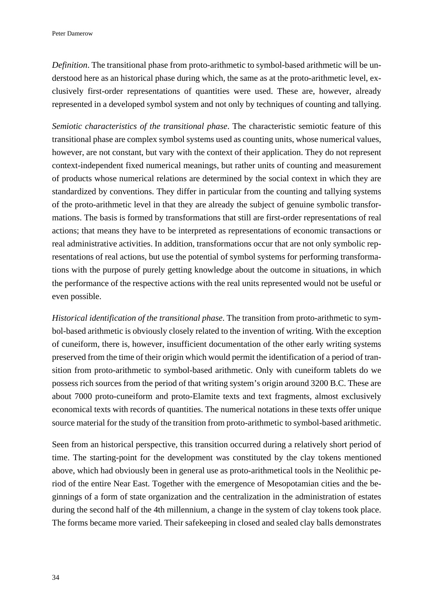*Definition*. The transitional phase from proto-arithmetic to symbol-based arithmetic will be understood here as an historical phase during which, the same as at the proto-arithmetic level, exclusively first-order representations of quantities were used. These are, however, already represented in a developed symbol system and not only by techniques of counting and tallying.

*Semiotic characteristics of the transitional phase*. The characteristic semiotic feature of this transitional phase are complex symbol systems used as counting units, whose numerical values, however, are not constant, but vary with the context of their application. They do not represent context-independent fixed numerical meanings, but rather units of counting and measurement of products whose numerical relations are determined by the social context in which they are standardized by conventions. They differ in particular from the counting and tallying systems of the proto-arithmetic level in that they are already the subject of genuine symbolic transformations. The basis is formed by transformations that still are first-order representations of real actions; that means they have to be interpreted as representations of economic transactions or real administrative activities. In addition, transformations occur that are not only symbolic representations of real actions, but use the potential of symbol systems for performing transformations with the purpose of purely getting knowledge about the outcome in situations, in which the performance of the respective actions with the real units represented would not be useful or even possible.

*Historical identification of the transitional phase*. The transition from proto-arithmetic to symbol-based arithmetic is obviously closely related to the invention of writing. With the exception of cuneiform, there is, however, insufficient documentation of the other early writing systems preserved from the time of their origin which would permit the identification of a period of transition from proto-arithmetic to symbol-based arithmetic. Only with cuneiform tablets do we possess rich sources from the period of that writing system's origin around 3200 B.C. These are about 7000 proto-cuneiform and proto-Elamite texts and text fragments, almost exclusively economical texts with records of quantities. The numerical notations in these texts offer unique source material for the study of the transition from proto-arithmetic to symbol-based arithmetic.

Seen from an historical perspective, this transition occurred during a relatively short period of time. The starting-point for the development was constituted by the clay tokens mentioned above, which had obviously been in general use as proto-arithmetical tools in the Neolithic period of the entire Near East. Together with the emergence of Mesopotamian cities and the beginnings of a form of state organization and the centralization in the administration of estates during the second half of the 4th millennium, a change in the system of clay tokens took place. The forms became more varied. Their safekeeping in closed and sealed clay balls demonstrates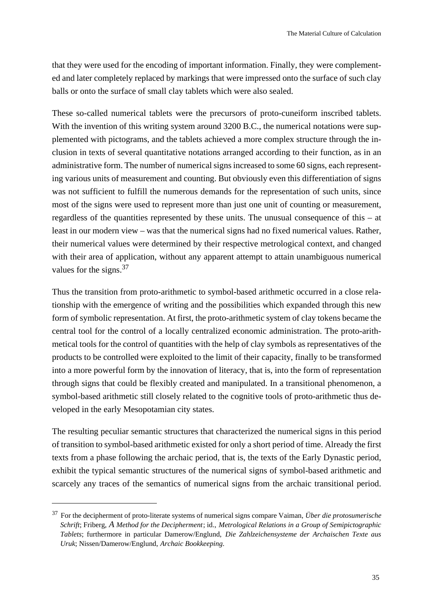that they were used for the encoding of important information. Finally, they were complemented and later completely replaced by markings that were impressed onto the surface of such clay balls or onto the surface of small clay tablets which were also sealed.

These so-called numerical tablets were the precursors of proto-cuneiform inscribed tablets. With the invention of this writing system around 3200 B.C., the numerical notations were supplemented with pictograms, and the tablets achieved a more complex structure through the inclusion in texts of several quantitative notations arranged according to their function, as in an administrative form. The number of numerical signs increased to some 60 signs, each representing various units of measurement and counting. But obviously even this differentiation of signs was not sufficient to fulfill the numerous demands for the representation of such units, since most of the signs were used to represent more than just one unit of counting or measurement, regardless of the quantities represented by these units. The unusual consequence of this – at least in our modern view – was that the numerical signs had no fixed numerical values. Rather, their numerical values were determined by their respective metrological context, and changed with their area of application, without any apparent attempt to attain unambiguous numerical values for the signs.<sup>37</sup>

Thus the transition from proto-arithmetic to symbol-based arithmetic occurred in a close relationship with the emergence of writing and the possibilities which expanded through this new form of symbolic representation. At first, the proto-arithmetic system of clay tokens became the central tool for the control of a locally centralized economic administration. The proto-arithmetical tools for the control of quantities with the help of clay symbols as representatives of the products to be controlled were exploited to the limit of their capacity, finally to be transformed into a more powerful form by the innovation of literacy, that is, into the form of representation through signs that could be flexibly created and manipulated. In a transitional phenomenon, a symbol-based arithmetic still closely related to the cognitive tools of proto-arithmetic thus developed in the early Mesopotamian city states.

The resulting peculiar semantic structures that characterized the numerical signs in this period of transition to symbol-based arithmetic existed for only a short period of time. Already the first texts from a phase following the archaic period, that is, the texts of the Early Dynastic period, exhibit the typical semantic structures of the numerical signs of symbol-based arithmetic and scarcely any traces of the semantics of numerical signs from the archaic transitional period.

<sup>&</sup>lt;sup>37</sup> For the decipherment of proto-literate systems of numerical signs compare Vaiman, *Über die protosumerische Schrift*; Friberg, *A Method for the Decipherment*; id., *Metrological Relations in a Group of Semipictographic Tablets*; furthermore in particular Damerow/Englund, *Die Zahlzeichensysteme der Archaischen Texte aus Uruk*; Nissen/Damerow/Englund, *Archaic Bookkeeping*.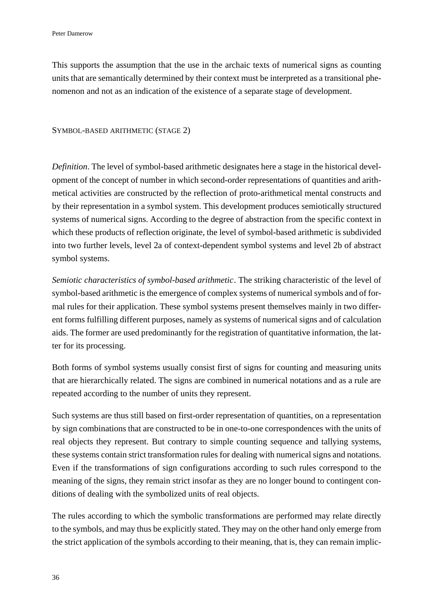This supports the assumption that the use in the archaic texts of numerical signs as counting units that are semantically determined by their context must be interpreted as a transitional phenomenon and not as an indication of the existence of a separate stage of development.

#### SYMBOL-BASED ARITHMETIC (STAGE 2)

*Definition*. The level of symbol-based arithmetic designates here a stage in the historical development of the concept of number in which second-order representations of quantities and arithmetical activities are constructed by the reflection of proto-arithmetical mental constructs and by their representation in a symbol system. This development produces semiotically structured systems of numerical signs. According to the degree of abstraction from the specific context in which these products of reflection originate, the level of symbol-based arithmetic is subdivided into two further levels, level 2a of context-dependent symbol systems and level 2b of abstract symbol systems.

*Semiotic characteristics of symbol-based arithmetic*. The striking characteristic of the level of symbol-based arithmetic is the emergence of complex systems of numerical symbols and of formal rules for their application. These symbol systems present themselves mainly in two different forms fulfilling different purposes, namely as systems of numerical signs and of calculation aids. The former are used predominantly for the registration of quantitative information, the latter for its processing.

Both forms of symbol systems usually consist first of signs for counting and measuring units that are hierarchically related. The signs are combined in numerical notations and as a rule are repeated according to the number of units they represent.

Such systems are thus still based on first-order representation of quantities, on a representation by sign combinations that are constructed to be in one-to-one correspondences with the units of real objects they represent. But contrary to simple counting sequence and tallying systems, these systems contain strict transformation rules for dealing with numerical signs and notations. Even if the transformations of sign configurations according to such rules correspond to the meaning of the signs, they remain strict insofar as they are no longer bound to contingent conditions of dealing with the symbolized units of real objects.

The rules according to which the symbolic transformations are performed may relate directly to the symbols, and may thus be explicitly stated. They may on the other hand only emerge from the strict application of the symbols according to their meaning, that is, they can remain implic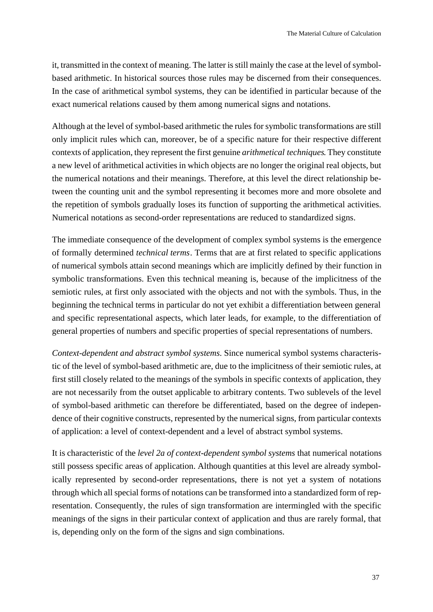it, transmitted in the context of meaning. The latter is still mainly the case at the level of symbolbased arithmetic. In historical sources those rules may be discerned from their consequences. In the case of arithmetical symbol systems, they can be identified in particular because of the exact numerical relations caused by them among numerical signs and notations.

Although at the level of symbol-based arithmetic the rules for symbolic transformations are still only implicit rules which can, moreover, be of a specific nature for their respective different contexts of application, they represent the first genuine *arithmetical techniques*. They constitute a new level of arithmetical activities in which objects are no longer the original real objects, but the numerical notations and their meanings. Therefore, at this level the direct relationship between the counting unit and the symbol representing it becomes more and more obsolete and the repetition of symbols gradually loses its function of supporting the arithmetical activities. Numerical notations as second-order representations are reduced to standardized signs.

The immediate consequence of the development of complex symbol systems is the emergence of formally determined *technical terms*. Terms that are at first related to specific applications of numerical symbols attain second meanings which are implicitly defined by their function in symbolic transformations. Even this technical meaning is, because of the implicitness of the semiotic rules, at first only associated with the objects and not with the symbols. Thus, in the beginning the technical terms in particular do not yet exhibit a differentiation between general and specific representational aspects, which later leads, for example, to the differentiation of general properties of numbers and specific properties of special representations of numbers.

*Context-dependent and abstract symbol systems*. Since numerical symbol systems characteristic of the level of symbol-based arithmetic are, due to the implicitness of their semiotic rules, at first still closely related to the meanings of the symbols in specific contexts of application, they are not necessarily from the outset applicable to arbitrary contents. Two sublevels of the level of symbol-based arithmetic can therefore be differentiated, based on the degree of independence of their cognitive constructs, represented by the numerical signs, from particular contexts of application: a level of context-dependent and a level of abstract symbol systems.

It is characteristic of the *level 2a of context-dependent symbol systems* that numerical notations still possess specific areas of application. Although quantities at this level are already symbolically represented by second-order representations, there is not yet a system of notations through which all special forms of notations can be transformed into a standardized form of representation. Consequently, the rules of sign transformation are intermingled with the specific meanings of the signs in their particular context of application and thus are rarely formal, that is, depending only on the form of the signs and sign combinations.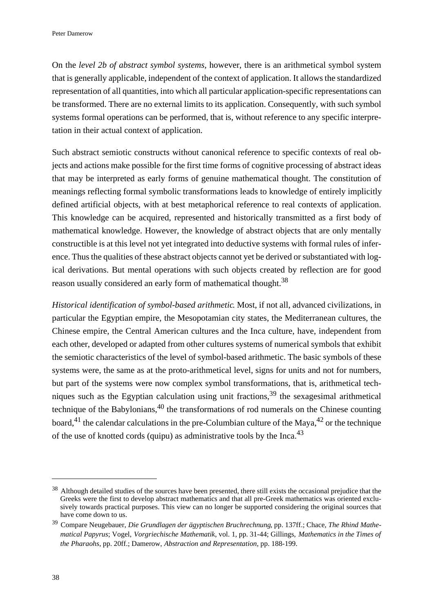On the *level 2b of abstract symbol systems*, however, there is an arithmetical symbol system that is generally applicable, independent of the context of application. It allows the standardized representation of all quantities, into which all particular application-specific representations can be transformed. There are no external limits to its application. Consequently, with such symbol systems formal operations can be performed, that is, without reference to any specific interpretation in their actual context of application.

Such abstract semiotic constructs without canonical reference to specific contexts of real objects and actions make possible for the first time forms of cognitive processing of abstract ideas that may be interpreted as early forms of genuine mathematical thought. The constitution of meanings reflecting formal symbolic transformations leads to knowledge of entirely implicitly defined artificial objects, with at best metaphorical reference to real contexts of application. This knowledge can be acquired, represented and historically transmitted as a first body of mathematical knowledge. However, the knowledge of abstract objects that are only mentally constructible is at this level not yet integrated into deductive systems with formal rules of inference. Thus the qualities of these abstract objects cannot yet be derived or substantiated with logical derivations. But mental operations with such objects created by reflection are for good reason usually considered an early form of mathematical thought.<sup>38</sup>

*Historical identification of symbol-based arithmetic*. Most, if not all, advanced civilizations, in particular the Egyptian empire, the Mesopotamian city states, the Mediterranean cultures, the Chinese empire, the Central American cultures and the Inca culture, have, independent from each other, developed or adapted from other cultures systems of numerical symbols that exhibit the semiotic characteristics of the level of symbol-based arithmetic. The basic symbols of these systems were, the same as at the proto-arithmetical level, signs for units and not for numbers, but part of the systems were now complex symbol transformations, that is, arithmetical techniques such as the Egyptian calculation using unit fractions,  $39$  the sexagesimal arithmetical technique of the Babylonians, $40$  the transformations of rod numerals on the Chinese counting board,<sup>41</sup> the calendar calculations in the pre-Columbian culture of the Maya,<sup>42</sup> or the technique of the use of knotted cords (quipu) as administrative tools by the Inca.<sup>43</sup>

<sup>&</sup>lt;sup>38</sup> Although detailed studies of the sources have been presented, there still exists the occasional prejudice that the Greeks were the first to develop abstract mathematics and that all pre-Greek mathematics was oriented exclusively towards practical purposes. This view can no longer be supported considering the original sources that have come down to us.

<sup>39</sup>Compare Neugebauer, *Die Grundlagen der ägyptischen Bruchrechnung*, pp. 137ff.; Chace, *The Rhind Mathematical Papyrus*; Vogel, *Vorgriechische Mathematik*, vol. 1, pp. 31-44; Gillings, *Mathematics in the Times of the Pharaohs*, pp. 20ff.; Damerow, *Abstraction and Representation*, pp. 188-199.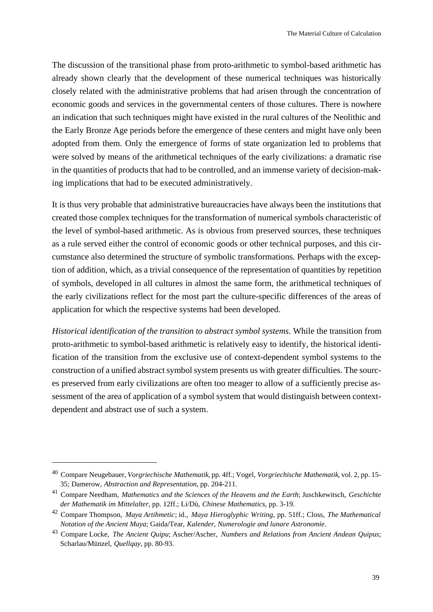The discussion of the transitional phase from proto-arithmetic to symbol-based arithmetic has already shown clearly that the development of these numerical techniques was historically closely related with the administrative problems that had arisen through the concentration of economic goods and services in the governmental centers of those cultures. There is nowhere an indication that such techniques might have existed in the rural cultures of the Neolithic and the Early Bronze Age periods before the emergence of these centers and might have only been adopted from them. Only the emergence of forms of state organization led to problems that were solved by means of the arithmetical techniques of the early civilizations: a dramatic rise in the quantities of products that had to be controlled, and an immense variety of decision-making implications that had to be executed administratively.

It is thus very probable that administrative bureaucracies have always been the institutions that created those complex techniques for the transformation of numerical symbols characteristic of the level of symbol-based arithmetic. As is obvious from preserved sources, these techniques as a rule served either the control of economic goods or other technical purposes, and this circumstance also determined the structure of symbolic transformations. Perhaps with the exception of addition, which, as a trivial consequence of the representation of quantities by repetition of symbols, developed in all cultures in almost the same form, the arithmetical techniques of the early civilizations reflect for the most part the culture-specific differences of the areas of application for which the respective systems had been developed.

*Historical identification of the transition to abstract symbol systems*. While the transition from proto-arithmetic to symbol-based arithmetic is relatively easy to identify, the historical identification of the transition from the exclusive use of context-dependent symbol systems to the construction of a unified abstract symbol system presents us with greater difficulties. The sources preserved from early civilizations are often too meager to allow of a sufficiently precise assessment of the area of application of a symbol system that would distinguish between contextdependent and abstract use of such a system.

<sup>40</sup>Compare Neugebauer, *Vorgriechische Mathematik*, pp. 4ff.; Vogel, *Vorgriechische Mathematik*, vol. 2, pp. 15- 35; Damerow, *Abstraction and Representation*, pp. 204-211.

<sup>&</sup>lt;sup>41</sup> Compare Needham, *Mathematics and the Sciences of the Heavens and the Earth*; Juschkewitsch, *Geschichte der Mathematik im Mittelalter*, pp. 12ff.; Li/Dù, *Chinese Mathematics*, pp. 3-19.

<sup>42</sup>Compare Thompson, *Maya Artihmetic*; id., *Maya Hieroglyphic Writing*, pp. 51ff.; Closs, *The Mathematical Notation of the Ancient Maya*; Gaida/Tear, *Kalender, Numerologie and lunare Astronomie*.

<sup>43</sup>Compare Locke, *The Ancient Quipu*; Ascher/Ascher, *Numbers and Relations from Ancient Andean Quipus*; Scharlau/Münzel, *Quellqay*, pp. 80-93.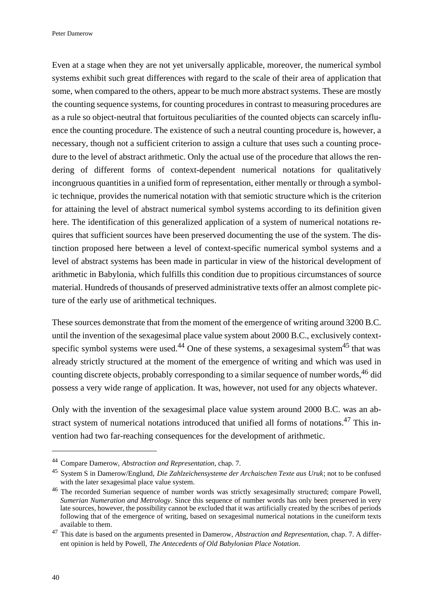Even at a stage when they are not yet universally applicable, moreover, the numerical symbol systems exhibit such great differences with regard to the scale of their area of application that some, when compared to the others, appear to be much more abstract systems. These are mostly the counting sequence systems, for counting procedures in contrast to measuring procedures are as a rule so object-neutral that fortuitous peculiarities of the counted objects can scarcely influence the counting procedure. The existence of such a neutral counting procedure is, however, a necessary, though not a sufficient criterion to assign a culture that uses such a counting procedure to the level of abstract arithmetic. Only the actual use of the procedure that allows the rendering of different forms of context-dependent numerical notations for qualitatively incongruous quantities in a unified form of representation, either mentally or through a symbolic technique, provides the numerical notation with that semiotic structure which is the criterion for attaining the level of abstract numerical symbol systems according to its definition given here. The identification of this generalized application of a system of numerical notations requires that sufficient sources have been preserved documenting the use of the system. The distinction proposed here between a level of context-specific numerical symbol systems and a level of abstract systems has been made in particular in view of the historical development of arithmetic in Babylonia, which fulfills this condition due to propitious circumstances of source material. Hundreds of thousands of preserved administrative texts offer an almost complete picture of the early use of arithmetical techniques.

These sources demonstrate that from the moment of the emergence of writing around 3200 B.C. until the invention of the sexagesimal place value system about 2000 B.C., exclusively contextspecific symbol systems were used.<sup>44</sup> One of these systems, a sexagesimal system<sup>45</sup> that was already strictly structured at the moment of the emergence of writing and which was used in counting discrete objects, probably corresponding to a similar sequence of number words, <sup>46</sup> did possess a very wide range of application. It was, however, not used for any objects whatever.

Only with the invention of the sexagesimal place value system around 2000 B.C. was an abstract system of numerical notations introduced that unified all forms of notations.<sup>47</sup> This invention had two far-reaching consequences for the development of arithmetic.

<sup>44</sup>Compare Damerow, *Abstraction and Representation*, chap. 7.

<sup>&</sup>lt;sup>45</sup> System S in Damerow/Englund, *Die Zahlzeichensysteme der Archaischen Texte aus Uruk*; not to be confused with the later sexagesimal place value system.

<sup>&</sup>lt;sup>46</sup> The recorded Sumerian sequence of number words was strictly sexagesimally structured; compare Powell, *Sumerian Numeration and Metrology*. Since this sequence of number words has only been preserved in very late sources, however, the possibility cannot be excluded that it was artificially created by the scribes of periods following that of the emergence of writing, based on sexagesimal numerical notations in the cuneiform texts available to them.

<sup>&</sup>lt;sup>47</sup> This date is based on the arguments presented in Damerow, *Abstraction and Representation*, chap. 7. A different opinion is held by Powell, *The Antecedents of Old Babylonian Place Notation*.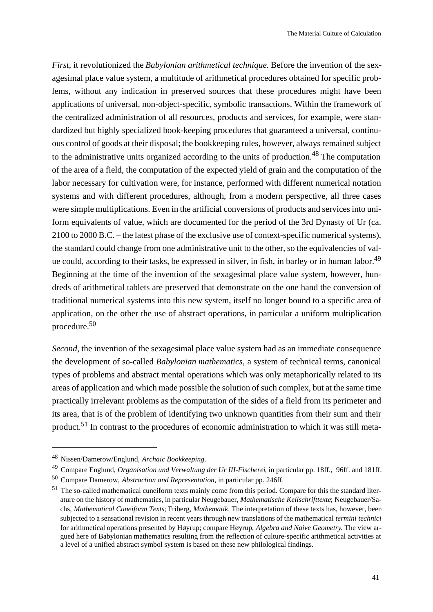*First*, it revolutionized the *Babylonian arithmetical technique*. Before the invention of the sexagesimal place value system, a multitude of arithmetical procedures obtained for specific problems, without any indication in preserved sources that these procedures might have been applications of universal, non-object-specific, symbolic transactions. Within the framework of the centralized administration of all resources, products and services, for example, were standardized but highly specialized book-keeping procedures that guaranteed a universal, continuous control of goods at their disposal; the bookkeeping rules, however, always remained subject to the administrative units organized according to the units of production.<sup>48</sup> The computation of the area of a field, the computation of the expected yield of grain and the computation of the labor necessary for cultivation were, for instance, performed with different numerical notation systems and with different procedures, although, from a modern perspective, all three cases were simple multiplications. Even in the artificial conversions of products and services into uniform equivalents of value, which are documented for the period of the 3rd Dynasty of Ur (ca. 2100 to 2000 B.C. – the latest phase of the exclusive use of context-specific numerical systems), the standard could change from one administrative unit to the other, so the equivalencies of value could, according to their tasks, be expressed in silver, in fish, in barley or in human labor.<sup>49</sup> Beginning at the time of the invention of the sexagesimal place value system, however, hundreds of arithmetical tablets are preserved that demonstrate on the one hand the conversion of traditional numerical systems into this new system, itself no longer bound to a specific area of application, on the other the use of abstract operations, in particular a uniform multiplication procedure.<sup>50</sup>

*Second*, the invention of the sexagesimal place value system had as an immediate consequence the development of so-called *Babylonian mathematics,* a system of technical terms, canonical types of problems and abstract mental operations which was only metaphorically related to its areas of application and which made possible the solution of such complex, but at the same time practically irrelevant problems as the computation of the sides of a field from its perimeter and its area, that is of the problem of identifying two unknown quantities from their sum and their product.51 In contrast to the procedures of economic administration to which it was still meta-

<sup>48</sup>Nissen/Damerow/Englund, *Archaic Bookkeeping*.

<sup>49</sup>Compare Englund, *Organisation und Verwaltung der Ur III-Fischerei*, in particular pp. 18ff., 96ff. and 181ff.

<sup>50</sup>Compare Damerow, *Abstraction and Representation*, in particular pp. 246ff.

<sup>&</sup>lt;sup>51</sup> The so-called mathematical cuneiform texts mainly come from this period. Compare for this the standard literature on the history of mathematics, in particular Neugebauer, *Mathematische Keilschrifttexte*; Neugebauer/Sachs, *Mathematical Cuneiform Texts*; Friberg, *Mathematik*. The interpretation of these texts has, however, been subjected to a sensational revision in recent years through new translations of the mathematical *termini technici* for arithmetical operations presented by Høyrup; compare Høyrup, *Algebra and Naive Geometry*. The view argued here of Babylonian mathematics resulting from the reflection of culture-specific arithmetical activities at a level of a unified abstract symbol system is based on these new philological findings.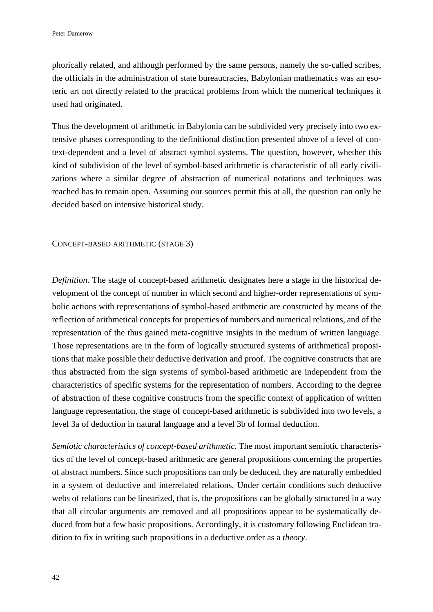phorically related, and although performed by the same persons, namely the so-called scribes, the officials in the administration of state bureaucracies, Babylonian mathematics was an esoteric art not directly related to the practical problems from which the numerical techniques it used had originated.

Thus the development of arithmetic in Babylonia can be subdivided very precisely into two extensive phases corresponding to the definitional distinction presented above of a level of context-dependent and a level of abstract symbol systems. The question, however, whether this kind of subdivision of the level of symbol-based arithmetic is characteristic of all early civilizations where a similar degree of abstraction of numerical notations and techniques was reached has to remain open. Assuming our sources permit this at all, the question can only be decided based on intensive historical study.

## CONCEPT-BASED ARITHMETIC (STAGE 3)

*Definition*. The stage of concept-based arithmetic designates here a stage in the historical development of the concept of number in which second and higher-order representations of symbolic actions with representations of symbol-based arithmetic are constructed by means of the reflection of arithmetical concepts for properties of numbers and numerical relations, and of the representation of the thus gained meta-cognitive insights in the medium of written language. Those representations are in the form of logically structured systems of arithmetical propositions that make possible their deductive derivation and proof. The cognitive constructs that are thus abstracted from the sign systems of symbol-based arithmetic are independent from the characteristics of specific systems for the representation of numbers. According to the degree of abstraction of these cognitive constructs from the specific context of application of written language representation, the stage of concept-based arithmetic is subdivided into two levels, a level 3a of deduction in natural language and a level 3b of formal deduction.

*Semiotic characteristics of concept-based arithmetic.* The most important semiotic characteristics of the level of concept-based arithmetic are general propositions concerning the properties of abstract numbers. Since such propositions can only be deduced, they are naturally embedded in a system of deductive and interrelated relations. Under certain conditions such deductive webs of relations can be linearized, that is, the propositions can be globally structured in a way that all circular arguments are removed and all propositions appear to be systematically deduced from but a few basic propositions. Accordingly, it is customary following Euclidean tradition to fix in writing such propositions in a deductive order as a *theory*.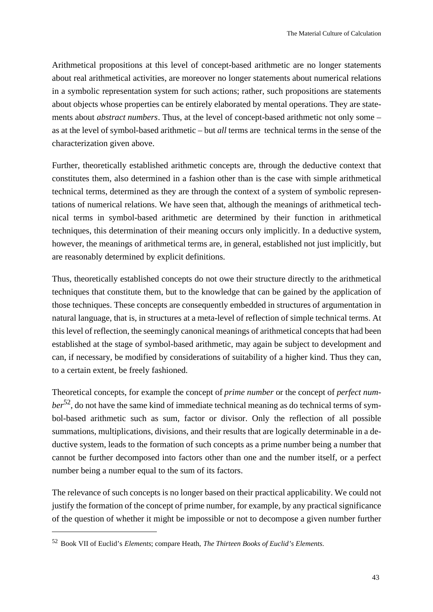Arithmetical propositions at this level of concept-based arithmetic are no longer statements about real arithmetical activities, are moreover no longer statements about numerical relations in a symbolic representation system for such actions; rather, such propositions are statements about objects whose properties can be entirely elaborated by mental operations. They are statements about *abstract numbers*. Thus, at the level of concept-based arithmetic not only some – as at the level of symbol-based arithmetic – but *all* terms are technical terms in the sense of the characterization given above.

Further, theoretically established arithmetic concepts are, through the deductive context that constitutes them, also determined in a fashion other than is the case with simple arithmetical technical terms, determined as they are through the context of a system of symbolic representations of numerical relations. We have seen that, although the meanings of arithmetical technical terms in symbol-based arithmetic are determined by their function in arithmetical techniques, this determination of their meaning occurs only implicitly. In a deductive system, however, the meanings of arithmetical terms are, in general, established not just implicitly, but are reasonably determined by explicit definitions.

Thus, theoretically established concepts do not owe their structure directly to the arithmetical techniques that constitute them, but to the knowledge that can be gained by the application of those techniques. These concepts are consequently embedded in structures of argumentation in natural language, that is, in structures at a meta-level of reflection of simple technical terms. At this level of reflection, the seemingly canonical meanings of arithmetical concepts that had been established at the stage of symbol-based arithmetic, may again be subject to development and can, if necessary, be modified by considerations of suitability of a higher kind. Thus they can, to a certain extent, be freely fashioned.

Theoretical concepts, for example the concept of *prime number* or the concept of *perfect number*52, do not have the same kind of immediate technical meaning as do technical terms of symbol-based arithmetic such as sum, factor or divisor. Only the reflection of all possible summations, multiplications, divisions, and their results that are logically determinable in a deductive system, leads to the formation of such concepts as a prime number being a number that cannot be further decomposed into factors other than one and the number itself, or a perfect number being a number equal to the sum of its factors.

The relevance of such concepts is no longer based on their practical applicability. We could not justify the formation of the concept of prime number, for example, by any practical significance of the question of whether it might be impossible or not to decompose a given number further

<sup>52</sup>Book VII of Euclid's *Elements*; compare Heath, *The Thirteen Books of Euclid's Elements*.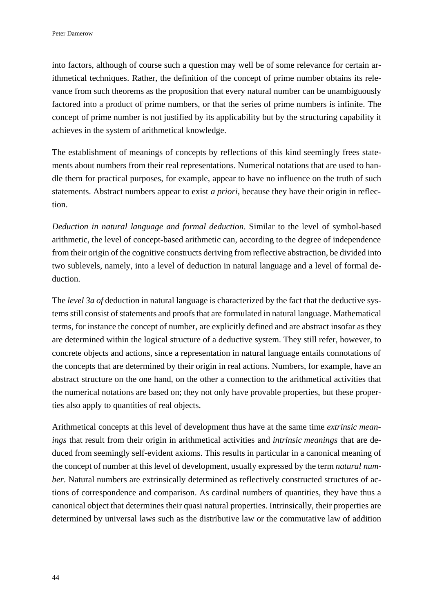into factors, although of course such a question may well be of some relevance for certain arithmetical techniques. Rather, the definition of the concept of prime number obtains its relevance from such theorems as the proposition that every natural number can be unambiguously factored into a product of prime numbers, or that the series of prime numbers is infinite. The concept of prime number is not justified by its applicability but by the structuring capability it achieves in the system of arithmetical knowledge.

The establishment of meanings of concepts by reflections of this kind seemingly frees statements about numbers from their real representations. Numerical notations that are used to handle them for practical purposes, for example, appear to have no influence on the truth of such statements. Abstract numbers appear to exist *a priori*, because they have their origin in reflection.

*Deduction in natural language and formal deduction*. Similar to the level of symbol-based arithmetic, the level of concept-based arithmetic can, according to the degree of independence from their origin of the cognitive constructs deriving from reflective abstraction, be divided into two sublevels, namely, into a level of deduction in natural language and a level of formal deduction.

The *level 3a of* deduction in natural language is characterized by the fact that the deductive systems still consist of statements and proofs that are formulated in natural language. Mathematical terms, for instance the concept of number, are explicitly defined and are abstract insofar as they are determined within the logical structure of a deductive system. They still refer, however, to concrete objects and actions, since a representation in natural language entails connotations of the concepts that are determined by their origin in real actions. Numbers, for example, have an abstract structure on the one hand, on the other a connection to the arithmetical activities that the numerical notations are based on; they not only have provable properties, but these properties also apply to quantities of real objects.

Arithmetical concepts at this level of development thus have at the same time *extrinsic meanings* that result from their origin in arithmetical activities and *intrinsic meanings* that are deduced from seemingly self-evident axioms. This results in particular in a canonical meaning of the concept of number at this level of development, usually expressed by the term *natural number*. Natural numbers are extrinsically determined as reflectively constructed structures of actions of correspondence and comparison. As cardinal numbers of quantities, they have thus a canonical object that determines their quasi natural properties. Intrinsically, their properties are determined by universal laws such as the distributive law or the commutative law of addition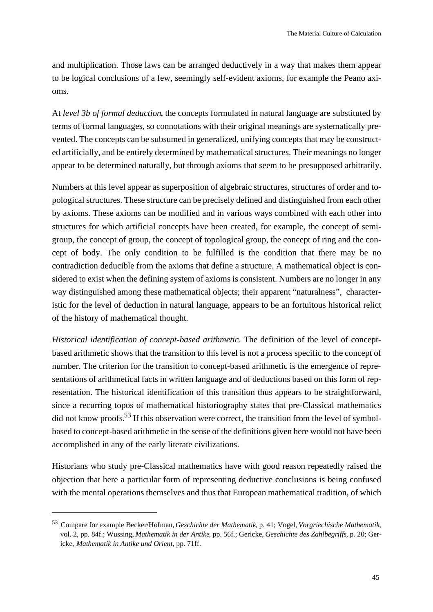and multiplication. Those laws can be arranged deductively in a way that makes them appear to be logical conclusions of a few, seemingly self-evident axioms, for example the Peano axioms.

At *level 3b of formal deduction*, the concepts formulated in natural language are substituted by terms of formal languages, so connotations with their original meanings are systematically prevented. The concepts can be subsumed in generalized, unifying concepts that may be constructed artificially, and be entirely determined by mathematical structures. Their meanings no longer appear to be determined naturally, but through axioms that seem to be presupposed arbitrarily.

Numbers at this level appear as superposition of algebraic structures, structures of order and topological structures. These structure can be precisely defined and distinguished from each other by axioms. These axioms can be modified and in various ways combined with each other into structures for which artificial concepts have been created, for example, the concept of semigroup, the concept of group, the concept of topological group, the concept of ring and the concept of body. The only condition to be fulfilled is the condition that there may be no contradiction deducible from the axioms that define a structure. A mathematical object is considered to exist when the defining system of axioms is consistent. Numbers are no longer in any way distinguished among these mathematical objects; their apparent "naturalness", characteristic for the level of deduction in natural language, appears to be an fortuitous historical relict of the history of mathematical thought.

*Historical identification of concept-based arithmetic*. The definition of the level of conceptbased arithmetic shows that the transition to this level is not a process specific to the concept of number. The criterion for the transition to concept-based arithmetic is the emergence of representations of arithmetical facts in written language and of deductions based on this form of representation. The historical identification of this transition thus appears to be straightforward, since a recurring topos of mathematical historiography states that pre-Classical mathematics did not know proofs.<sup>53</sup> If this observation were correct, the transition from the level of symbolbased to concept-based arithmetic in the sense of the definitions given here would not have been accomplished in any of the early literate civilizations.

Historians who study pre-Classical mathematics have with good reason repeatedly raised the objection that here a particular form of representing deductive conclusions is being confused with the mental operations themselves and thus that European mathematical tradition, of which

<sup>53</sup>Compare for example Becker/Hofman, *Geschichte der Mathematik*, p. 41; Vogel, *Vorgriechische Mathematik*, vol. 2, pp. 84f.; Wussing, *Mathematik in der Antike*, pp. 56f.; Gericke, *Geschichte des Zahlbegriffs*, p. 20; Gericke, *Mathematik in Antike und Orient*, pp. 71ff.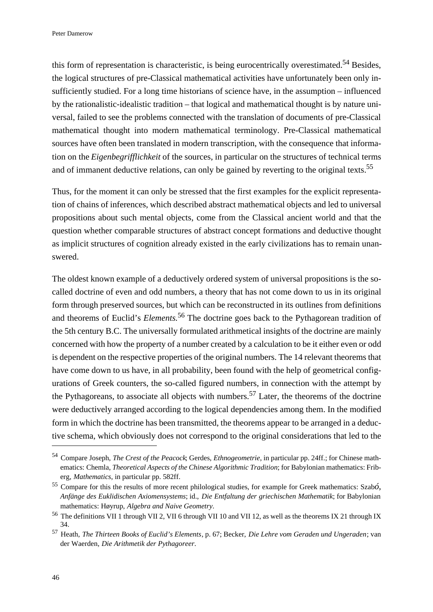this form of representation is characteristic, is being eurocentrically overestimated.<sup>54</sup> Besides, the logical structures of pre-Classical mathematical activities have unfortunately been only insufficiently studied. For a long time historians of science have, in the assumption – influenced by the rationalistic-idealistic tradition – that logical and mathematical thought is by nature universal, failed to see the problems connected with the translation of documents of pre-Classical mathematical thought into modern mathematical terminology. Pre-Classical mathematical sources have often been translated in modern transcription, with the consequence that information on the *Eigenbegrifflichkeit* of the sources, in particular on the structures of technical terms and of immanent deductive relations, can only be gained by reverting to the original texts.<sup>55</sup>

Thus, for the moment it can only be stressed that the first examples for the explicit representation of chains of inferences, which described abstract mathematical objects and led to universal propositions about such mental objects, come from the Classical ancient world and that the question whether comparable structures of abstract concept formations and deductive thought as implicit structures of cognition already existed in the early civilizations has to remain unanswered.

The oldest known example of a deductively ordered system of universal propositions is the socalled doctrine of even and odd numbers, a theory that has not come down to us in its original form through preserved sources, but which can be reconstructed in its outlines from definitions and theorems of Euclid's *Elements.*<sup>56</sup> The doctrine goes back to the Pythagorean tradition of the 5th century B.C. The universally formulated arithmetical insights of the doctrine are mainly concerned with how the property of a number created by a calculation to be it either even or odd is dependent on the respective properties of the original numbers. The 14 relevant theorems that have come down to us have, in all probability, been found with the help of geometrical configurations of Greek counters, the so-called figured numbers, in connection with the attempt by the Pythagoreans, to associate all objects with numbers.<sup>57</sup> Later, the theorems of the doctrine were deductively arranged according to the logical dependencies among them. In the modified form in which the doctrine has been transmitted, the theorems appear to be arranged in a deductive schema, which obviously does not correspond to the original considerations that led to the

<sup>54</sup>Compare Joseph, *The Crest of the Peacock*; Gerdes, *Ethnogeometrie*, in particular pp. 24ff.; for Chinese mathematics: Chemla, *Theoretical Aspects of the Chinese Algorithmic Tradition*; for Babylonian mathematics: Friberg, *Mathematics*, in particular pp. 582ff.

<sup>55</sup>Compare for this the results of more recent philological studies, for example for Greek mathematics: Szab*ó, Anfänge des Euklidischen Axiomensystems*; id., *Die Entfaltung der griechischen Mathematik*; for Babylonian mathematics: Høyrup, *Algebra and Naive Geometry*.

<sup>&</sup>lt;sup>56</sup> The definitions VII 1 through VII 2, VII 6 through VII 10 and VII 12, as well as the theorems IX 21 through IX 34.

<sup>57</sup>Heath, *The Thirteen Books of Euclid's Elements*, p. 67; Becker, *Die Lehre vom Geraden und Ungeraden*; van der Waerden, *Die Arithmetik der Pythagoreer*.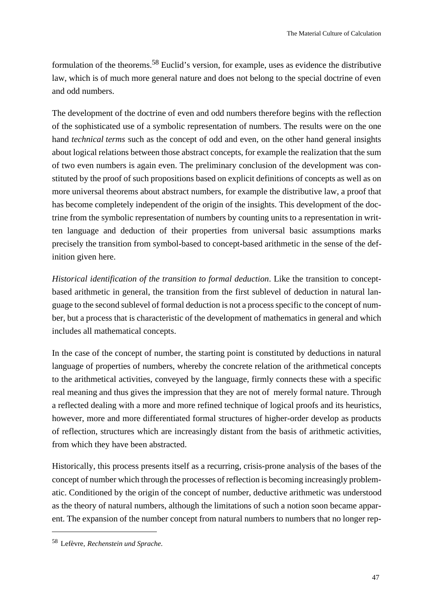formulation of the theorems.58 Euclid's version, for example, uses as evidence the distributive law, which is of much more general nature and does not belong to the special doctrine of even and odd numbers.

The development of the doctrine of even and odd numbers therefore begins with the reflection of the sophisticated use of a symbolic representation of numbers. The results were on the one hand *technical terms* such as the concept of odd and even, on the other hand general insights about logical relations between those abstract concepts, for example the realization that the sum of two even numbers is again even. The preliminary conclusion of the development was constituted by the proof of such propositions based on explicit definitions of concepts as well as on more universal theorems about abstract numbers, for example the distributive law, a proof that has become completely independent of the origin of the insights. This development of the doctrine from the symbolic representation of numbers by counting units to a representation in written language and deduction of their properties from universal basic assumptions marks precisely the transition from symbol-based to concept-based arithmetic in the sense of the definition given here.

*Historical identification of the transition to formal deduction*. Like the transition to conceptbased arithmetic in general, the transition from the first sublevel of deduction in natural language to the second sublevel of formal deduction is not a process specific to the concept of number, but a process that is characteristic of the development of mathematics in general and which includes all mathematical concepts.

In the case of the concept of number, the starting point is constituted by deductions in natural language of properties of numbers, whereby the concrete relation of the arithmetical concepts to the arithmetical activities, conveyed by the language, firmly connects these with a specific real meaning and thus gives the impression that they are not of merely formal nature. Through a reflected dealing with a more and more refined technique of logical proofs and its heuristics, however, more and more differentiated formal structures of higher-order develop as products of reflection, structures which are increasingly distant from the basis of arithmetic activities, from which they have been abstracted.

Historically, this process presents itself as a recurring, crisis-prone analysis of the bases of the concept of number which through the processes of reflection is becoming increasingly problematic. Conditioned by the origin of the concept of number, deductive arithmetic was understood as the theory of natural numbers, although the limitations of such a notion soon became apparent. The expansion of the number concept from natural numbers to numbers that no longer rep-

<sup>58</sup>Lefèvre, *Rechenstein und Sprache*.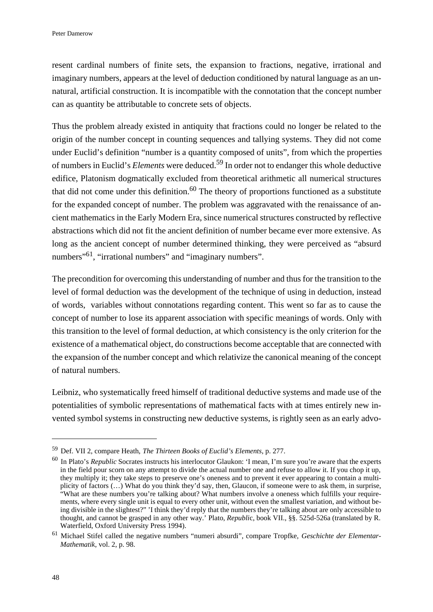resent cardinal numbers of finite sets, the expansion to fractions, negative, irrational and imaginary numbers, appears at the level of deduction conditioned by natural language as an unnatural, artificial construction. It is incompatible with the connotation that the concept number can as quantity be attributable to concrete sets of objects.

Thus the problem already existed in antiquity that fractions could no longer be related to the origin of the number concept in counting sequences and tallying systems. They did not come under Euclid's definition "number is a quantity composed of units", from which the properties of numbers in Euclid's *Elements* were deduced.59 In order not to endanger this whole deductive edifice, Platonism dogmatically excluded from theoretical arithmetic all numerical structures that did not come under this definition.<sup>60</sup> The theory of proportions functioned as a substitute for the expanded concept of number. The problem was aggravated with the renaissance of ancient mathematics in the Early Modern Era, since numerical structures constructed by reflective abstractions which did not fit the ancient definition of number became ever more extensive. As long as the ancient concept of number determined thinking, they were perceived as "absurd numbers"<sup>61</sup>, "irrational numbers" and "imaginary numbers".

The precondition for overcoming this understanding of number and thus for the transition to the level of formal deduction was the development of the technique of using in deduction, instead of words, variables without connotations regarding content. This went so far as to cause the concept of number to lose its apparent association with specific meanings of words. Only with this transition to the level of formal deduction, at which consistency is the only criterion for the existence of a mathematical object, do constructions become acceptable that are connected with the expansion of the number concept and which relativize the canonical meaning of the concept of natural numbers.

Leibniz, who systematically freed himself of traditional deductive systems and made use of the potentialities of symbolic representations of mathematical facts with at times entirely new invented symbol systems in constructing new deductive systems, is rightly seen as an early advo-

<sup>59</sup>Def. VII 2, compare Heath, *The Thirteen Books of Euclid's Elements*, p. 277.

<sup>&</sup>lt;sup>60</sup> In Plato's *Republic* Socrates instructs his interlocutor Glaukon: 'I mean, I'm sure you're aware that the experts in the field pour scorn on any attempt to divide the actual number one and refuse to allow it. If you chop it up, they multiply it; they take steps to preserve one's oneness and to prevent it ever appearing to contain a multiplicity of factors (…) What do you think they'd say, then, Glaucon, if someone were to ask them, in surprise, "What are these numbers you're talking about? What numbers involve a oneness which fulfills your requirements, where every single unit is equal to every other unit, without even the smallest variation, and without being divisible in the slightest?" 'I think they'd reply that the numbers they're talking about are only accessible to thought, and cannot be grasped in any other way.' Plato, *Republi*c, book VII., §§. 525d-526a (translated by R. Waterfield, Oxford University Press 1994).

<sup>&</sup>lt;sup>61</sup> Michael Stifel called the negative numbers "numeri absurdi", compare Tropfke, *Geschichte der Elementar-Mathematik*, vol. 2, p. 98.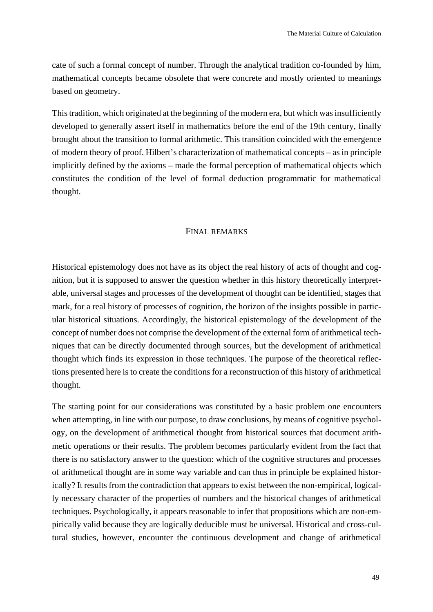cate of such a formal concept of number. Through the analytical tradition co-founded by him, mathematical concepts became obsolete that were concrete and mostly oriented to meanings based on geometry.

This tradition, which originated at the beginning of the modern era, but which was insufficiently developed to generally assert itself in mathematics before the end of the 19th century, finally brought about the transition to formal arithmetic. This transition coincided with the emergence of modern theory of proof. Hilbert's characterization of mathematical concepts – as in principle implicitly defined by the axioms – made the formal perception of mathematical objects which constitutes the condition of the level of formal deduction programmatic for mathematical thought.

### FINAL REMARKS

Historical epistemology does not have as its object the real history of acts of thought and cognition, but it is supposed to answer the question whether in this history theoretically interpretable, universal stages and processes of the development of thought can be identified, stages that mark, for a real history of processes of cognition, the horizon of the insights possible in particular historical situations. Accordingly, the historical epistemology of the development of the concept of number does not comprise the development of the external form of arithmetical techniques that can be directly documented through sources, but the development of arithmetical thought which finds its expression in those techniques. The purpose of the theoretical reflections presented here is to create the conditions for a reconstruction of this history of arithmetical thought.

The starting point for our considerations was constituted by a basic problem one encounters when attempting, in line with our purpose, to draw conclusions, by means of cognitive psychology, on the development of arithmetical thought from historical sources that document arithmetic operations or their results. The problem becomes particularly evident from the fact that there is no satisfactory answer to the question: which of the cognitive structures and processes of arithmetical thought are in some way variable and can thus in principle be explained historically? It results from the contradiction that appears to exist between the non-empirical, logically necessary character of the properties of numbers and the historical changes of arithmetical techniques. Psychologically, it appears reasonable to infer that propositions which are non-empirically valid because they are logically deducible must be universal. Historical and cross-cultural studies, however, encounter the continuous development and change of arithmetical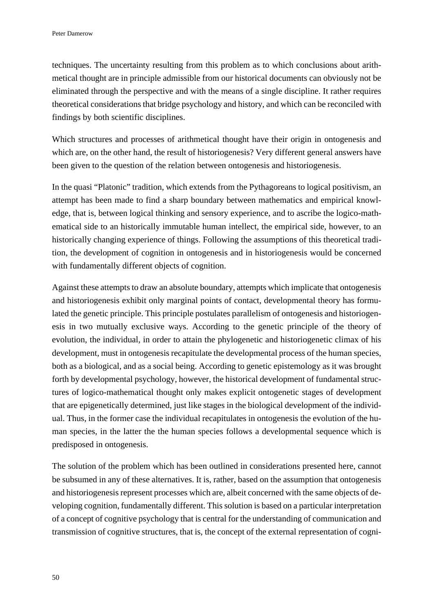techniques. The uncertainty resulting from this problem as to which conclusions about arithmetical thought are in principle admissible from our historical documents can obviously not be eliminated through the perspective and with the means of a single discipline. It rather requires theoretical considerations that bridge psychology and history, and which can be reconciled with findings by both scientific disciplines.

Which structures and processes of arithmetical thought have their origin in ontogenesis and which are, on the other hand, the result of historiogenesis? Very different general answers have been given to the question of the relation between ontogenesis and historiogenesis.

In the quasi "Platonic" tradition, which extends from the Pythagoreans to logical positivism, an attempt has been made to find a sharp boundary between mathematics and empirical knowledge, that is, between logical thinking and sensory experience, and to ascribe the logico-mathematical side to an historically immutable human intellect, the empirical side, however, to an historically changing experience of things. Following the assumptions of this theoretical tradition, the development of cognition in ontogenesis and in historiogenesis would be concerned with fundamentally different objects of cognition.

Against these attempts to draw an absolute boundary, attempts which implicate that ontogenesis and historiogenesis exhibit only marginal points of contact, developmental theory has formulated the genetic principle. This principle postulates parallelism of ontogenesis and historiogenesis in two mutually exclusive ways. According to the genetic principle of the theory of evolution, the individual, in order to attain the phylogenetic and historiogenetic climax of his development, must in ontogenesis recapitulate the developmental process of the human species, both as a biological, and as a social being. According to genetic epistemology as it was brought forth by developmental psychology, however, the historical development of fundamental structures of logico-mathematical thought only makes explicit ontogenetic stages of development that are epigenetically determined, just like stages in the biological development of the individual. Thus, in the former case the individual recapitulates in ontogenesis the evolution of the human species, in the latter the the human species follows a developmental sequence which is predisposed in ontogenesis.

The solution of the problem which has been outlined in considerations presented here, cannot be subsumed in any of these alternatives. It is, rather, based on the assumption that ontogenesis and historiogenesis represent processes which are, albeit concerned with the same objects of developing cognition, fundamentally different. This solution is based on a particular interpretation of a concept of cognitive psychology that is central for the understanding of communication and transmission of cognitive structures, that is, the concept of the external representation of cogni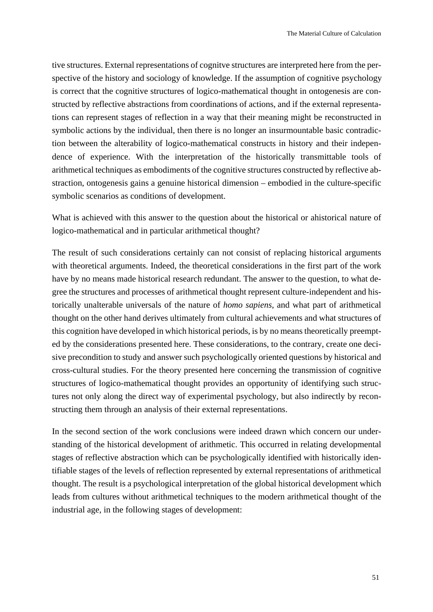tive structures. External representations of cognitve structures are interpreted here from the perspective of the history and sociology of knowledge. If the assumption of cognitive psychology is correct that the cognitive structures of logico-mathematical thought in ontogenesis are constructed by reflective abstractions from coordinations of actions, and if the external representations can represent stages of reflection in a way that their meaning might be reconstructed in symbolic actions by the individual, then there is no longer an insurmountable basic contradiction between the alterability of logico-mathematical constructs in history and their independence of experience. With the interpretation of the historically transmittable tools of arithmetical techniques as embodiments of the cognitive structures constructed by reflective abstraction, ontogenesis gains a genuine historical dimension – embodied in the culture-specific symbolic scenarios as conditions of development.

What is achieved with this answer to the question about the historical or ahistorical nature of logico-mathematical and in particular arithmetical thought?

The result of such considerations certainly can not consist of replacing historical arguments with theoretical arguments. Indeed, the theoretical considerations in the first part of the work have by no means made historical research redundant. The answer to the question, to what degree the structures and processes of arithmetical thought represent culture-independent and historically unalterable universals of the nature of *homo sapiens*, and what part of arithmetical thought on the other hand derives ultimately from cultural achievements and what structures of this cognition have developed in which historical periods, is by no means theoretically preempted by the considerations presented here. These considerations, to the contrary, create one decisive precondition to study and answer such psychologically oriented questions by historical and cross-cultural studies. For the theory presented here concerning the transmission of cognitive structures of logico-mathematical thought provides an opportunity of identifying such structures not only along the direct way of experimental psychology, but also indirectly by reconstructing them through an analysis of their external representations.

In the second section of the work conclusions were indeed drawn which concern our understanding of the historical development of arithmetic. This occurred in relating developmental stages of reflective abstraction which can be psychologically identified with historically identifiable stages of the levels of reflection represented by external representations of arithmetical thought. The result is a psychological interpretation of the global historical development which leads from cultures without arithmetical techniques to the modern arithmetical thought of the industrial age, in the following stages of development: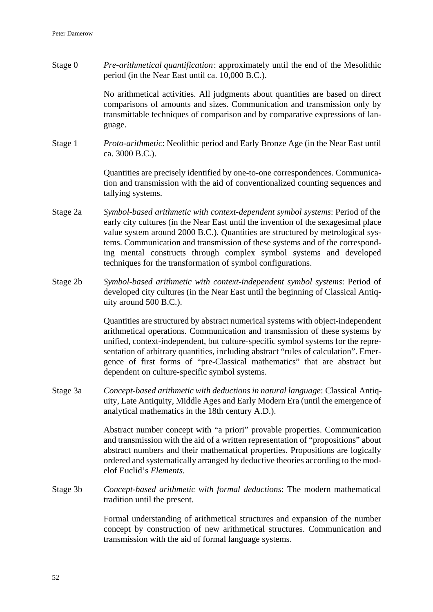Stage 0 *Pre-arithmetical quantification*: approximately until the end of the Mesolithic period (in the Near East until ca. 10,000 B.C.).

> No arithmetical activities. All judgments about quantities are based on direct comparisons of amounts and sizes. Communication and transmission only by transmittable techniques of comparison and by comparative expressions of language.

Stage 1 *Proto-arithmetic*: Neolithic period and Early Bronze Age (in the Near East until ca. 3000 B.C.).

> Quantities are precisely identified by one-to-one correspondences. Communication and transmission with the aid of conventionalized counting sequences and tallying systems.

- Stage 2a *Symbol-based arithmetic with context-dependent symbol systems*: Period of the early city cultures (in the Near East until the invention of the sexagesimal place value system around 2000 B.C.). Quantities are structured by metrological systems. Communication and transmission of these systems and of the corresponding mental constructs through complex symbol systems and developed techniques for the transformation of symbol configurations.
- Stage 2b *Symbol-based arithmetic with context-independent symbol systems*: Period of developed city cultures (in the Near East until the beginning of Classical Antiquity around 500 B.C.).

Quantities are structured by abstract numerical systems with object-independent arithmetical operations. Communication and transmission of these systems by unified, context-independent, but culture-specific symbol systems for the representation of arbitrary quantities, including abstract "rules of calculation". Emergence of first forms of "pre-Classical mathematics" that are abstract but dependent on culture-specific symbol systems.

Stage 3a *Concept-based arithmetic with deductions in natural language*: Classical Antiquity, Late Antiquity, Middle Ages and Early Modern Era (until the emergence of analytical mathematics in the 18th century A.D.).

> Abstract number concept with "a priori" provable properties. Communication and transmission with the aid of a written representation of "propositions" about abstract numbers and their mathematical properties. Propositions are logically ordered and systematically arranged by deductive theories according to the modelof Euclid's *Elements*.

Stage 3b *Concept-based arithmetic with formal deductions*: The modern mathematical tradition until the present.

> Formal understanding of arithmetical structures and expansion of the number concept by construction of new arithmetical structures. Communication and transmission with the aid of formal language systems.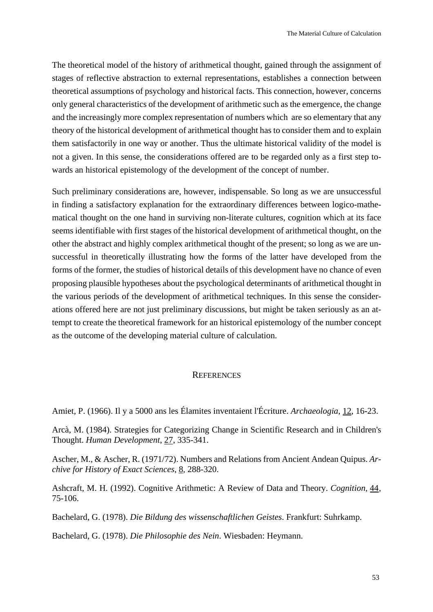The theoretical model of the history of arithmetical thought, gained through the assignment of stages of reflective abstraction to external representations, establishes a connection between theoretical assumptions of psychology and historical facts. This connection, however, concerns only general characteristics of the development of arithmetic such as the emergence, the change and the increasingly more complex representation of numbers which are so elementary that any theory of the historical development of arithmetical thought has to consider them and to explain them satisfactorily in one way or another. Thus the ultimate historical validity of the model is not a given. In this sense, the considerations offered are to be regarded only as a first step towards an historical epistemology of the development of the concept of number.

Such preliminary considerations are, however, indispensable. So long as we are unsuccessful in finding a satisfactory explanation for the extraordinary differences between logico-mathematical thought on the one hand in surviving non-literate cultures, cognition which at its face seems identifiable with first stages of the historical development of arithmetical thought, on the other the abstract and highly complex arithmetical thought of the present; so long as we are unsuccessful in theoretically illustrating how the forms of the latter have developed from the forms of the former, the studies of historical details of this development have no chance of even proposing plausible hypotheses about the psychological determinants of arithmetical thought in the various periods of the development of arithmetical techniques. In this sense the considerations offered here are not just preliminary discussions, but might be taken seriously as an attempt to create the theoretical framework for an historical epistemology of the number concept as the outcome of the developing material culture of calculation.

#### **REFERENCES**

Amiet, P. (1966). Il y a 5000 ans les Élamites inventaient l'Écriture. *Archaeologia*, 12, 16-23.

Arcà, M. (1984). Strategies for Categorizing Change in Scientific Research and in Children's Thought. *Human Development*, 27, 335-341.

Ascher, M., & Ascher, R. (1971/72). Numbers and Relations from Ancient Andean Quipus. *Archive for History of Exact Sciences*, 8, 288-320.

Ashcraft, M. H. (1992). Cognitive Arithmetic: A Review of Data and Theory. *Cognition*, 44, 75-106.

Bachelard, G. (1978). *Die Bildung des wissenschaftlichen Geistes*. Frankfurt: Suhrkamp.

Bachelard, G. (1978). *Die Philosophie des Nein*. Wiesbaden: Heymann.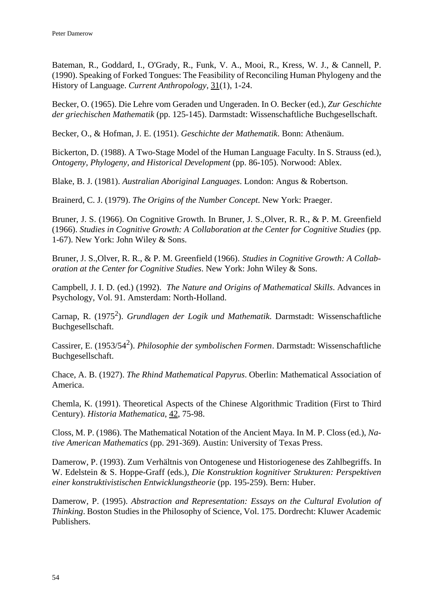Bateman, R., Goddard, I., O'Grady, R., Funk, V. A., Mooi, R., Kress, W. J., & Cannell, P. (1990). Speaking of Forked Tongues: The Feasibility of Reconciling Human Phylogeny and the History of Language. *Current Anthropology*, 31(1), 1-24.

Becker, O. (1965). Die Lehre vom Geraden und Ungeraden. In O. Becker (ed.), *Zur Geschichte der griechischen Mathematik* (pp. 125-145). Darmstadt: Wissenschaftliche Buchgesellschaft.

Becker, O., & Hofman, J. E. (1951). *Geschichte der Mathematik*. Bonn: Athenäum.

Bickerton, D. (1988). A Two-Stage Model of the Human Language Faculty. In S. Strauss (ed.), *Ontogeny, Phylogeny, and Historical Development* (pp. 86-105). Norwood: Ablex.

Blake, B. J. (1981). *Australian Aboriginal Languages*. London: Angus & Robertson.

Brainerd, C. J. (1979). *The Origins of the Number Concept*. New York: Praeger.

Bruner, J. S. (1966). On Cognitive Growth. In Bruner, J. S.,Olver, R. R., & P. M. Greenfield (1966). *Studies in Cognitive Growth: A Collaboration at the Center for Cognitive Studies* (pp. 1-67). New York: John Wiley & Sons.

Bruner, J. S.,Olver, R. R., & P. M. Greenfield (1966). *Studies in Cognitive Growth: A Collaboration at the Center for Cognitive Studies*. New York: John Wiley & Sons.

Campbell, J. I. D. (ed.) (1992). *The Nature and Origins of Mathematical Skills*. Advances in Psychology, Vol. 91. Amsterdam: North-Holland.

Carnap, R. (1975<sup>2</sup>). *Grundlagen der Logik und Mathematik*. Darmstadt: Wissenschaftliche Buchgesellschaft.

Cassirer, E. (1953/54<sup>2</sup> ). *Philosophie der symbolischen Formen*. Darmstadt: Wissenschaftliche Buchgesellschaft.

Chace, A. B. (1927). *The Rhind Mathematical Papyrus*. Oberlin: Mathematical Association of America.

Chemla, K. (1991). Theoretical Aspects of the Chinese Algorithmic Tradition (First to Third Century). *Historia Mathematica*, 42, 75-98.

Closs, M. P. (1986). The Mathematical Notation of the Ancient Maya. In M. P. Closs (ed.), *Native American Mathematics* (pp. 291-369). Austin: University of Texas Press.

Damerow, P. (1993). Zum Verhältnis von Ontogenese und Historiogenese des Zahlbegriffs. In W. Edelstein & S. Hoppe-Graff (eds.), *Die Konstruktion kognitiver Strukturen: Perspektiven einer konstruktivistischen Entwicklungstheorie* (pp. 195-259). Bern: Huber.

Damerow, P. (1995). *Abstraction and Representation: Essays on the Cultural Evolution of Thinking*. Boston Studies in the Philosophy of Science, Vol. 175. Dordrecht: Kluwer Academic Publishers.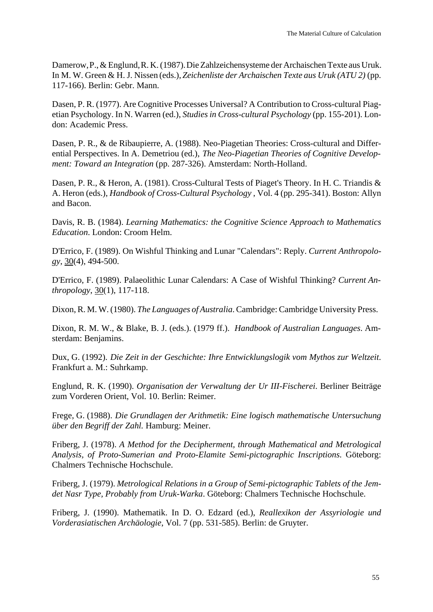Damerow,P.,& Englund,R. K.(1987).DieZahlzeichensysteme der Archaischen Texte aus Uruk. In M. W. Green & H. J. Nissen (eds.), *Zeichenliste der Archaischen Texte aus Uruk (ATU 2)* (pp. 117-166). Berlin: Gebr. Mann.

Dasen, P. R. (1977). Are Cognitive Processes Universal? A Contribution to Cross-cultural Piagetian Psychology. In N. Warren (ed.), *Studies in Cross-cultural Psychology* (pp. 155-201). London: Academic Press.

Dasen, P. R., & de Ribaupierre, A. (1988). Neo-Piagetian Theories: Cross-cultural and Differential Perspectives. In A. Demetriou (ed.), *The Neo-Piagetian Theories of Cognitive Development: Toward an Integration* (pp. 287-326). Amsterdam: North-Holland.

Dasen, P. R., & Heron, A. (1981). Cross-Cultural Tests of Piaget's Theory. In H. C. Triandis & A. Heron (eds.), *Handbook of Cross-Cultural Psychology* , Vol. 4 (pp. 295-341). Boston: Allyn and Bacon.

Davis, R. B. (1984). *Learning Mathematics: the Cognitive Science Approach to Mathematics Education*. London: Croom Helm.

D'Errico, F. (1989). On Wishful Thinking and Lunar "Calendars": Reply. *Current Anthropology*, 30(4), 494-500.

D'Errico, F. (1989). Palaeolithic Lunar Calendars: A Case of Wishful Thinking? *Current Anthropology*, 30(1), 117-118.

Dixon, R. M. W. (1980). *The Languages of Australia*. Cambridge: Cambridge University Press.

Dixon, R. M. W., & Blake, B. J. (eds.). (1979 ff.). *Handbook of Australian Languages*. Amsterdam: Benjamins.

Dux, G. (1992). *Die Zeit in der Geschichte: Ihre Entwicklungslogik vom Mythos zur Weltzeit*. Frankfurt a. M.: Suhrkamp.

Englund, R. K. (1990). *Organisation der Verwaltung der Ur III-Fischerei*. Berliner Beiträge zum Vorderen Orient, Vol. 10. Berlin: Reimer.

Frege, G. (1988). *Die Grundlagen der Arithmetik: Eine logisch mathematische Untersuchung über den Begriff der Zahl.* Hamburg: Meiner.

Friberg, J. (1978). *A Method for the Decipherment, through Mathematical and Metrological Analysis, of Proto-Sumerian and Proto-Elamite Semi-pictographic Inscriptions*. Göteborg: Chalmers Technische Hochschule.

Friberg, J. (1979). *Metrological Relations in a Group of Semi-pictographic Tablets of the Jemdet Nasr Type, Probably from Uruk-Warka*. Göteborg: Chalmers Technische Hochschule.

Friberg, J. (1990). Mathematik. In D. O. Edzard (ed.), *Reallexikon der Assyriologie und Vorderasiatischen Archäologie*, Vol. 7 (pp. 531-585). Berlin: de Gruyter.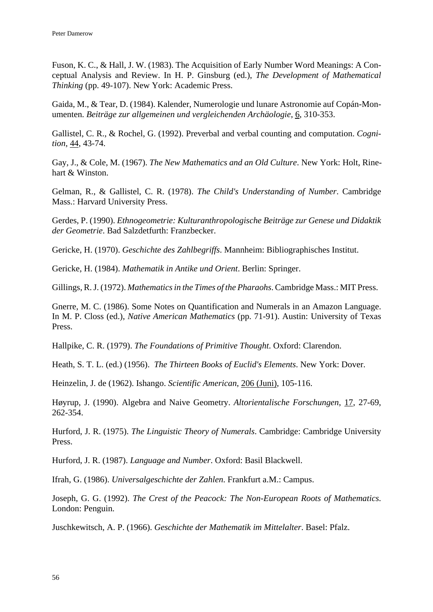Fuson, K. C., & Hall, J. W. (1983). The Acquisition of Early Number Word Meanings: A Conceptual Analysis and Review. In H. P. Ginsburg (ed.), *The Development of Mathematical Thinking* (pp. 49-107). New York: Academic Press.

Gaida, M., & Tear, D. (1984). Kalender, Numerologie und lunare Astronomie auf Copán-Monumenten. *Beiträge zur allgemeinen und vergleichenden Archäologie*, 6, 310-353.

Gallistel, C. R., & Rochel, G. (1992). Preverbal and verbal counting and computation. *Cognition*, 44, 43-74.

Gay, J., & Cole, M. (1967). *The New Mathematics and an Old Culture*. New York: Holt, Rinehart & Winston.

Gelman, R., & Gallistel, C. R. (1978). *The Child's Understanding of Number*. Cambridge Mass.: Harvard University Press.

Gerdes, P. (1990). *Ethnogeometrie: Kulturanthropologische Beiträge zur Genese und Didaktik der Geometrie*. Bad Salzdetfurth: Franzbecker.

Gericke, H. (1970). *Geschichte des Zahlbegriffs*. Mannheim: Bibliographisches Institut.

Gericke, H. (1984). *Mathematik in Antike und Orient*. Berlin: Springer.

Gillings, R. J. (1972). *Mathematics in the Times of the Pharaohs*. Cambridge Mass.: MIT Press.

Gnerre, M. C. (1986). Some Notes on Quantification and Numerals in an Amazon Language. In M. P. Closs (ed.), *Native American Mathematics* (pp. 71-91). Austin: University of Texas Press.

Hallpike, C. R. (1979). *The Foundations of Primitive Thought*. Oxford: Clarendon.

Heath, S. T. L. (ed.) (1956). *The Thirteen Books of Euclid's Elements*. New York: Dover.

Heinzelin, J. de (1962). Ishango. *Scientific American*, 206 (Juni), 105-116.

Høyrup, J. (1990). Algebra and Naive Geometry. *Altorientalische Forschungen*, 17, 27-69, 262-354.

Hurford, J. R. (1975). *The Linguistic Theory of Numerals*. Cambridge: Cambridge University Press.

Hurford, J. R. (1987). *Language and Number*. Oxford: Basil Blackwell.

Ifrah, G. (1986). *Universalgeschichte der Zahlen*. Frankfurt a.M.: Campus.

Joseph, G. G. (1992). *The Crest of the Peacock: The Non-European Roots of Mathematics*. London: Penguin.

Juschkewitsch, A. P. (1966). *Geschichte der Mathematik im Mittelalter*. Basel: Pfalz.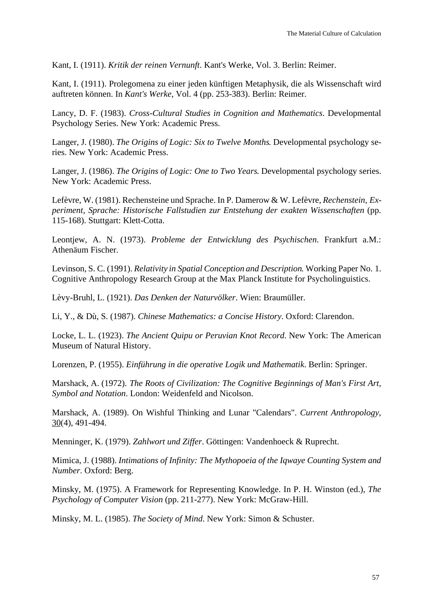Kant, I. (1911). *Kritik der reinen Vernunft*. Kant's Werke, Vol. 3. Berlin: Reimer.

Kant, I. (1911). Prolegomena zu einer jeden künftigen Metaphysik, die als Wissenschaft wird auftreten können. In *Kant's Werke*, Vol. 4 (pp. 253-383). Berlin: Reimer.

Lancy, D. F. (1983). *Cross-Cultural Studies in Cognition and Mathematics*. Developmental Psychology Series. New York: Academic Press.

Langer, J. (1980). *The Origins of Logic: Six to Twelve Months*. Developmental psychology series. New York: Academic Press.

Langer, J. (1986). *The Origins of Logic: One to Two Years*. Developmental psychology series. New York: Academic Press.

Lefèvre, W. (1981). Rechensteine und Sprache. In P. Damerow & W. Lefèvre, *Rechenstein, Experiment, Sprache: Historische Fallstudien zur Entstehung der exakten Wissenschaften* (pp. 115-168). Stuttgart: Klett-Cotta.

Leontjew, A. N. (1973). *Probleme der Entwicklung des Psychischen*. Frankfurt a.M.: Athenäum Fischer.

Levinson, S. C. (1991). *Relativity in Spatial Conception and Description*. Working Paper No. 1. Cognitive Anthropology Research Group at the Max Planck Institute for Psycholinguistics.

Lèvy-Bruhl, L. (1921). *Das Denken der Naturvölker*. Wien: Braumüller.

Li, Y., & Dù, S. (1987). *Chinese Mathematics: a Concise History*. Oxford: Clarendon.

Locke, L. L. (1923). *The Ancient Quipu or Peruvian Knot Record*. New York: The American Museum of Natural History.

Lorenzen, P. (1955). *Einführung in die operative Logik und Mathematik*. Berlin: Springer.

Marshack, A. (1972). *The Roots of Civilization: The Cognitive Beginnings of Man's First Art, Symbol and Notation*. London: Weidenfeld and Nicolson.

Marshack, A. (1989). On Wishful Thinking and Lunar "Calendars". *Current Anthropology*,  $30(4)$ , 491-494.

Menninger, K. (1979). *Zahlwort und Ziffer*. Göttingen: Vandenhoeck & Ruprecht.

Mimica, J. (1988). *Intimations of Infinity: The Mythopoeia of the Iqwaye Counting System and Number*. Oxford: Berg.

Minsky, M. (1975). A Framework for Representing Knowledge. In P. H. Winston (ed.), *The Psychology of Computer Vision* (pp. 211-277). New York: McGraw-Hill.

Minsky, M. L. (1985). *The Society of Mind*. New York: Simon & Schuster.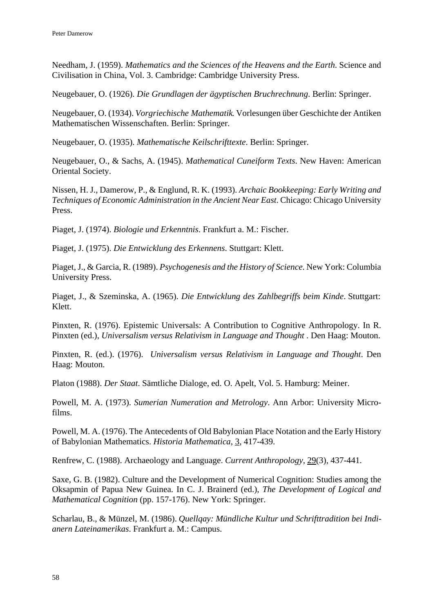Needham, J. (1959). *Mathematics and the Sciences of the Heavens and the Earth*. Science and Civilisation in China, Vol. 3. Cambridge: Cambridge University Press.

Neugebauer, O. (1926). *Die Grundlagen der ägyptischen Bruchrechnung*. Berlin: Springer.

Neugebauer, O. (1934). *Vorgriechische Mathematik*. Vorlesungen über Geschichte der Antiken Mathematischen Wissenschaften. Berlin: Springer.

Neugebauer, O. (1935). *Mathematische Keilschrifttexte*. Berlin: Springer.

Neugebauer, O., & Sachs, A. (1945). *Mathematical Cuneiform Texts*. New Haven: American Oriental Society.

Nissen, H. J., Damerow, P., & Englund, R. K. (1993). *Archaic Bookkeeping: Early Writing and Techniques of Economic Administration in the Ancient Near East*. Chicago: Chicago University Press.

Piaget, J. (1974). *Biologie und Erkenntnis*. Frankfurt a. M.: Fischer.

Piaget, J. (1975). *Die Entwicklung des Erkennens*. Stuttgart: Klett.

Piaget, J., & Garcia, R. (1989). *Psychogenesis and the History of Science*. New York: Columbia University Press.

Piaget, J., & Szeminska, A. (1965). *Die Entwicklung des Zahlbegriffs beim Kinde*. Stuttgart: Klett.

Pinxten, R. (1976). Epistemic Universals: A Contribution to Cognitive Anthropology. In R. Pinxten (ed.), *Universalism versus Relativism in Language and Thought* . Den Haag: Mouton.

Pinxten, R. (ed.). (1976). *Universalism versus Relativism in Language and Thought*. Den Haag: Mouton.

Platon (1988). *Der Staat*. Sämtliche Dialoge, ed. O. Apelt, Vol. 5. Hamburg: Meiner.

Powell, M. A. (1973). *Sumerian Numeration and Metrology*. Ann Arbor: University Microfilms.

Powell, M. A. (1976). The Antecedents of Old Babylonian Place Notation and the Early History of Babylonian Mathematics. *Historia Mathematica*, 3, 417-439.

Renfrew, C. (1988). Archaeology and Language. *Current Anthropology*, 29(3), 437-441.

Saxe, G. B. (1982). Culture and the Development of Numerical Cognition: Studies among the Oksapmin of Papua New Guinea. In C. J. Brainerd (ed.), *The Development of Logical and Mathematical Cognition* (pp. 157-176). New York: Springer.

Scharlau, B., & Münzel, M. (1986). *Quellqay: Mündliche Kultur und Schrifttradition bei Indianern Lateinamerikas*. Frankfurt a. M.: Campus.